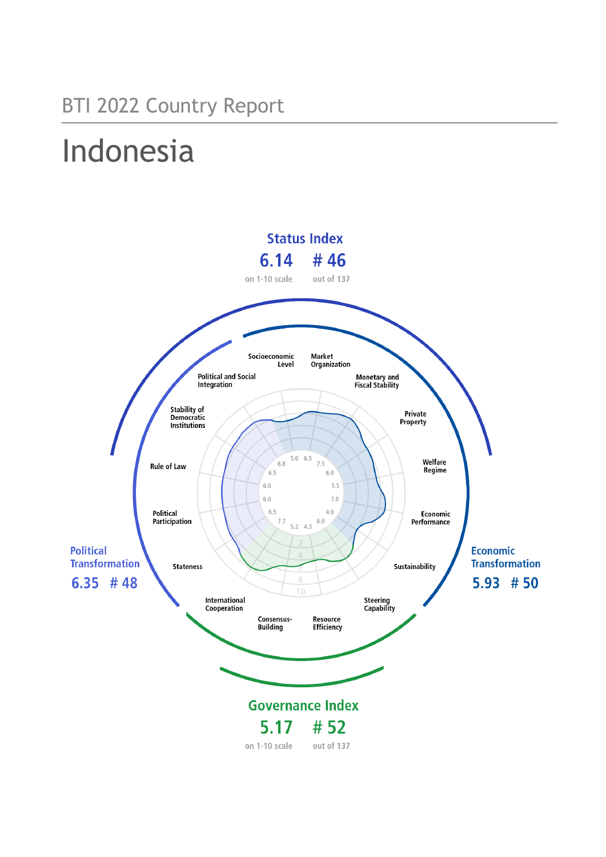# Indonesia

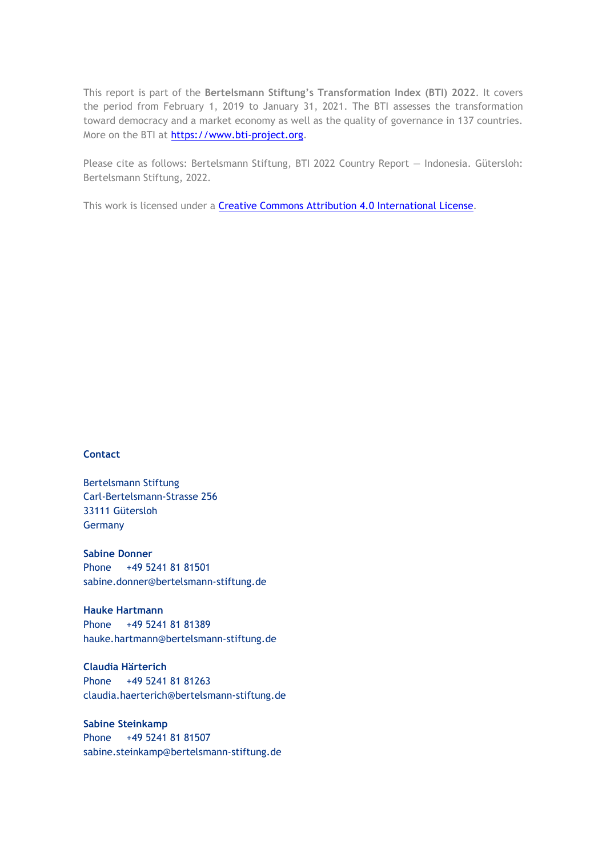This report is part of the **Bertelsmann Stiftung's Transformation Index (BTI) 2022**. It covers the period from February 1, 2019 to January 31, 2021. The BTI assesses the transformation toward democracy and a market economy as well as the quality of governance in 137 countries. More on the BTI at [https://www.bti-project.org.](https://www.bti-project.org/)

Please cite as follows: Bertelsmann Stiftung, BTI 2022 Country Report — Indonesia. Gütersloh: Bertelsmann Stiftung, 2022.

This work is licensed under a **Creative Commons Attribution 4.0 International License**.

#### **Contact**

Bertelsmann Stiftung Carl-Bertelsmann-Strasse 256 33111 Gütersloh Germany

**Sabine Donner** Phone +49 5241 81 81501 sabine.donner@bertelsmann-stiftung.de

**Hauke Hartmann** Phone +49 5241 81 81389 hauke.hartmann@bertelsmann-stiftung.de

**Claudia Härterich** Phone +49 5241 81 81263 claudia.haerterich@bertelsmann-stiftung.de

#### **Sabine Steinkamp** Phone +49 5241 81 81507 sabine.steinkamp@bertelsmann-stiftung.de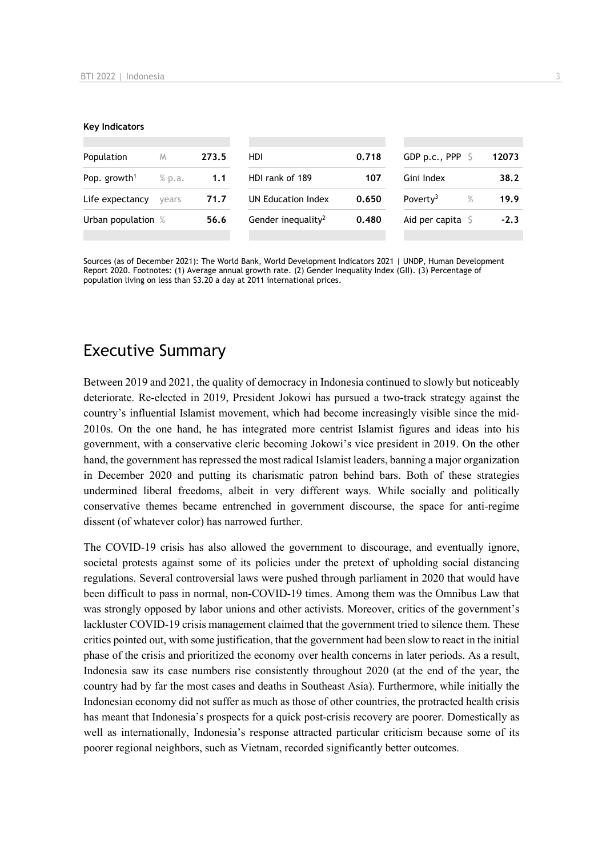#### **Key Indicators**

| Population               | M      | 273.5 | HDI                            | 0.718 | GDP p.c., PPP $\ S$          | 12073  |
|--------------------------|--------|-------|--------------------------------|-------|------------------------------|--------|
| Pop. growth <sup>1</sup> | % p.a. | 1.1   | HDI rank of 189                | 107   | Gini Index                   | 38.2   |
| Life expectancy          | vears  | 71.7  | UN Education Index             | 0.650 | Poverty <sup>3</sup><br>$\%$ | 19.9   |
| Urban population %       |        | 56.6  | Gender inequality <sup>2</sup> | 0.480 | Aid per capita $\mathsf S$   | $-2.3$ |
|                          |        |       |                                |       |                              |        |

Sources (as of December 2021): The World Bank, World Development Indicators 2021 | UNDP, Human Development Report 2020. Footnotes: (1) Average annual growth rate. (2) Gender Inequality Index (GII). (3) Percentage of population living on less than \$3.20 a day at 2011 international prices.

## Executive Summary

Between 2019 and 2021, the quality of democracy in Indonesia continued to slowly but noticeably deteriorate. Re-elected in 2019, President Jokowi has pursued a two-track strategy against the country's influential Islamist movement, which had become increasingly visible since the mid-2010s. On the one hand, he has integrated more centrist Islamist figures and ideas into his government, with a conservative cleric becoming Jokowi's vice president in 2019. On the other hand, the government has repressed the most radical Islamist leaders, banning a major organization in December 2020 and putting its charismatic patron behind bars. Both of these strategies undermined liberal freedoms, albeit in very different ways. While socially and politically conservative themes became entrenched in government discourse, the space for anti-regime dissent (of whatever color) has narrowed further.

The COVID-19 crisis has also allowed the government to discourage, and eventually ignore, societal protests against some of its policies under the pretext of upholding social distancing regulations. Several controversial laws were pushed through parliament in 2020 that would have been difficult to pass in normal, non-COVID-19 times. Among them was the Omnibus Law that was strongly opposed by labor unions and other activists. Moreover, critics of the government's lackluster COVID-19 crisis management claimed that the government tried to silence them. These critics pointed out, with some justification, that the government had been slow to react in the initial phase of the crisis and prioritized the economy over health concerns in later periods. As a result, Indonesia saw its case numbers rise consistently throughout 2020 (at the end of the year, the country had by far the most cases and deaths in Southeast Asia). Furthermore, while initially the Indonesian economy did not suffer as much as those of other countries, the protracted health crisis has meant that Indonesia's prospects for a quick post-crisis recovery are poorer. Domestically as well as internationally, Indonesia's response attracted particular criticism because some of its poorer regional neighbors, such as Vietnam, recorded significantly better outcomes.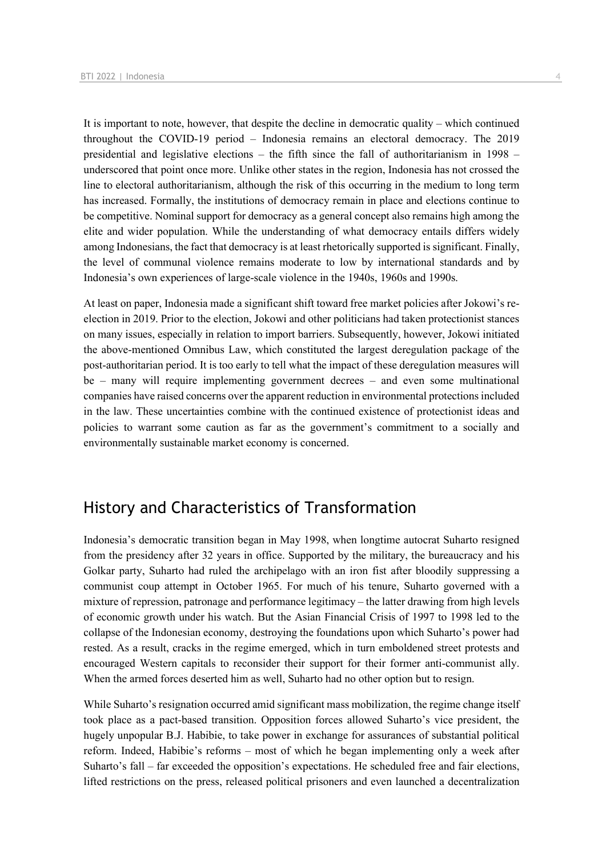It is important to note, however, that despite the decline in democratic quality – which continued throughout the COVID-19 period – Indonesia remains an electoral democracy. The 2019 presidential and legislative elections – the fifth since the fall of authoritarianism in 1998 – underscored that point once more. Unlike other states in the region, Indonesia has not crossed the line to electoral authoritarianism, although the risk of this occurring in the medium to long term has increased. Formally, the institutions of democracy remain in place and elections continue to be competitive. Nominal support for democracy as a general concept also remains high among the elite and wider population. While the understanding of what democracy entails differs widely among Indonesians, the fact that democracy is at least rhetorically supported is significant. Finally, the level of communal violence remains moderate to low by international standards and by Indonesia's own experiences of large-scale violence in the 1940s, 1960s and 1990s.

At least on paper, Indonesia made a significant shift toward free market policies after Jokowi's reelection in 2019. Prior to the election, Jokowi and other politicians had taken protectionist stances on many issues, especially in relation to import barriers. Subsequently, however, Jokowi initiated the above-mentioned Omnibus Law, which constituted the largest deregulation package of the post-authoritarian period. It is too early to tell what the impact of these deregulation measures will be – many will require implementing government decrees – and even some multinational companies have raised concerns over the apparent reduction in environmental protections included in the law. These uncertainties combine with the continued existence of protectionist ideas and policies to warrant some caution as far as the government's commitment to a socially and environmentally sustainable market economy is concerned.

## History and Characteristics of Transformation

Indonesia's democratic transition began in May 1998, when longtime autocrat Suharto resigned from the presidency after 32 years in office. Supported by the military, the bureaucracy and his Golkar party, Suharto had ruled the archipelago with an iron fist after bloodily suppressing a communist coup attempt in October 1965. For much of his tenure, Suharto governed with a mixture of repression, patronage and performance legitimacy – the latter drawing from high levels of economic growth under his watch. But the Asian Financial Crisis of 1997 to 1998 led to the collapse of the Indonesian economy, destroying the foundations upon which Suharto's power had rested. As a result, cracks in the regime emerged, which in turn emboldened street protests and encouraged Western capitals to reconsider their support for their former anti-communist ally. When the armed forces deserted him as well, Suharto had no other option but to resign.

While Suharto's resignation occurred amid significant mass mobilization, the regime change itself took place as a pact-based transition. Opposition forces allowed Suharto's vice president, the hugely unpopular B.J. Habibie, to take power in exchange for assurances of substantial political reform. Indeed, Habibie's reforms – most of which he began implementing only a week after Suharto's fall – far exceeded the opposition's expectations. He scheduled free and fair elections, lifted restrictions on the press, released political prisoners and even launched a decentralization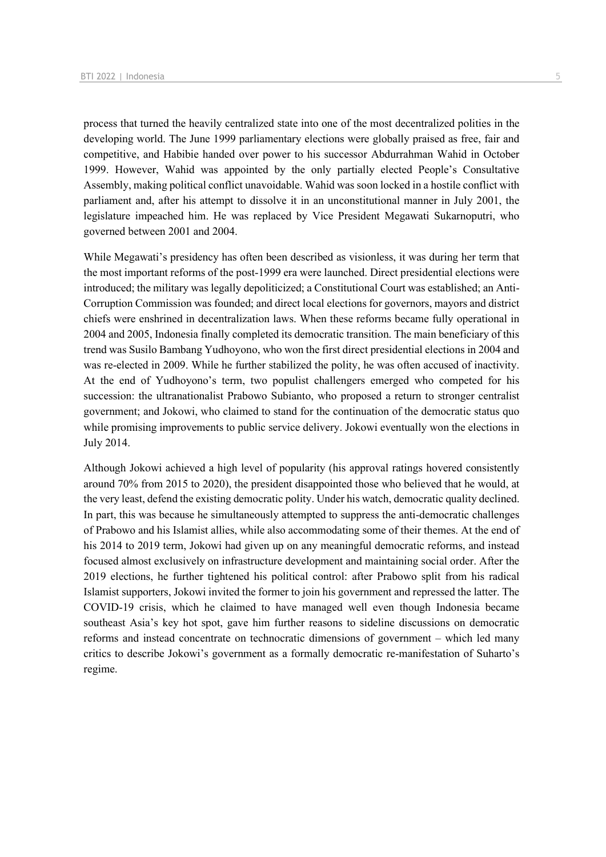process that turned the heavily centralized state into one of the most decentralized polities in the developing world. The June 1999 parliamentary elections were globally praised as free, fair and competitive, and Habibie handed over power to his successor Abdurrahman Wahid in October 1999. However, Wahid was appointed by the only partially elected People's Consultative Assembly, making political conflict unavoidable. Wahid was soon locked in a hostile conflict with parliament and, after his attempt to dissolve it in an unconstitutional manner in July 2001, the legislature impeached him. He was replaced by Vice President Megawati Sukarnoputri, who governed between 2001 and 2004.

While Megawati's presidency has often been described as visionless, it was during her term that the most important reforms of the post-1999 era were launched. Direct presidential elections were introduced; the military was legally depoliticized; a Constitutional Court was established; an Anti-Corruption Commission was founded; and direct local elections for governors, mayors and district chiefs were enshrined in decentralization laws. When these reforms became fully operational in 2004 and 2005, Indonesia finally completed its democratic transition. The main beneficiary of this trend was Susilo Bambang Yudhoyono, who won the first direct presidential elections in 2004 and was re-elected in 2009. While he further stabilized the polity, he was often accused of inactivity. At the end of Yudhoyono's term, two populist challengers emerged who competed for his succession: the ultranationalist Prabowo Subianto, who proposed a return to stronger centralist government; and Jokowi, who claimed to stand for the continuation of the democratic status quo while promising improvements to public service delivery. Jokowi eventually won the elections in July 2014.

Although Jokowi achieved a high level of popularity (his approval ratings hovered consistently around 70% from 2015 to 2020), the president disappointed those who believed that he would, at the very least, defend the existing democratic polity. Under his watch, democratic quality declined. In part, this was because he simultaneously attempted to suppress the anti-democratic challenges of Prabowo and his Islamist allies, while also accommodating some of their themes. At the end of his 2014 to 2019 term, Jokowi had given up on any meaningful democratic reforms, and instead focused almost exclusively on infrastructure development and maintaining social order. After the 2019 elections, he further tightened his political control: after Prabowo split from his radical Islamist supporters, Jokowi invited the former to join his government and repressed the latter. The COVID-19 crisis, which he claimed to have managed well even though Indonesia became southeast Asia's key hot spot, gave him further reasons to sideline discussions on democratic reforms and instead concentrate on technocratic dimensions of government – which led many critics to describe Jokowi's government as a formally democratic re-manifestation of Suharto's regime.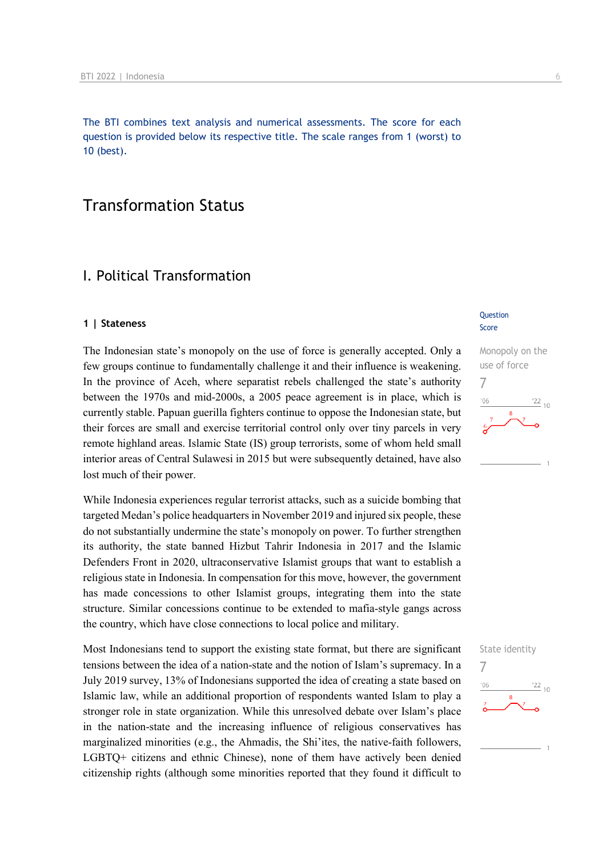The BTI combines text analysis and numerical assessments. The score for each question is provided below its respective title. The scale ranges from 1 (worst) to 10 (best).

## Transformation Status

## I. Political Transformation

#### **1 | Stateness**

The Indonesian state's monopoly on the use of force is generally accepted. Only a few groups continue to fundamentally challenge it and their influence is weakening. In the province of Aceh, where separatist rebels challenged the state's authority between the 1970s and mid-2000s, a 2005 peace agreement is in place, which is currently stable. Papuan guerilla fighters continue to oppose the Indonesian state, but their forces are small and exercise territorial control only over tiny parcels in very remote highland areas. Islamic State (IS) group terrorists, some of whom held small interior areas of Central Sulawesi in 2015 but were subsequently detained, have also lost much of their power.

While Indonesia experiences regular terrorist attacks, such as a suicide bombing that targeted Medan's police headquarters in November 2019 and injured six people, these do not substantially undermine the state's monopoly on power. To further strengthen its authority, the state banned Hizbut Tahrir Indonesia in 2017 and the Islamic Defenders Front in 2020, ultraconservative Islamist groups that want to establish a religious state in Indonesia. In compensation for this move, however, the government has made concessions to other Islamist groups, integrating them into the state structure. Similar concessions continue to be extended to mafia-style gangs across the country, which have close connections to local police and military.

Most Indonesians tend to support the existing state format, but there are significant tensions between the idea of a nation-state and the notion of Islam's supremacy. In a July 2019 survey, 13% of Indonesians supported the idea of creating a state based on Islamic law, while an additional proportion of respondents wanted Islam to play a stronger role in state organization. While this unresolved debate over Islam's place in the nation-state and the increasing influence of religious conservatives has marginalized minorities (e.g., the Ahmadis, the Shi'ites, the native-faith followers, LGBTQ+ citizens and ethnic Chinese), none of them have actively been denied citizenship rights (although some minorities reported that they found it difficult to

#### **Question** Score

## Monopoly on the use of force 7  $\frac{22}{10}$  $106$

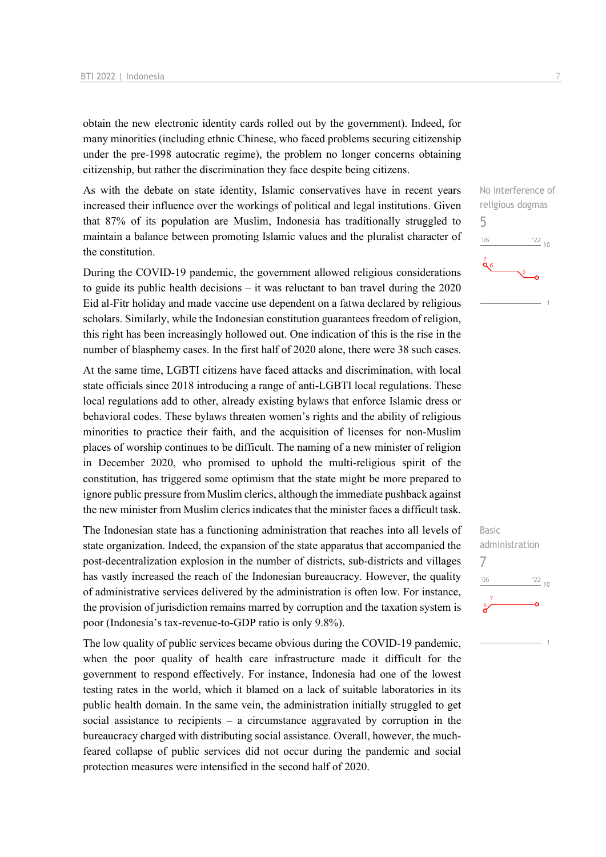obtain the new electronic identity cards rolled out by the government). Indeed, for many minorities (including ethnic Chinese, who faced problems securing citizenship under the pre-1998 autocratic regime), the problem no longer concerns obtaining citizenship, but rather the discrimination they face despite being citizens.

As with the debate on state identity, Islamic conservatives have in recent years increased their influence over the workings of political and legal institutions. Given that 87% of its population are Muslim, Indonesia has traditionally struggled to maintain a balance between promoting Islamic values and the pluralist character of the constitution.

During the COVID-19 pandemic, the government allowed religious considerations to guide its public health decisions – it was reluctant to ban travel during the 2020 Eid al-Fitr holiday and made vaccine use dependent on a fatwa declared by religious scholars. Similarly, while the Indonesian constitution guarantees freedom of religion, this right has been increasingly hollowed out. One indication of this is the rise in the number of blasphemy cases. In the first half of 2020 alone, there were 38 such cases.

At the same time, LGBTI citizens have faced attacks and discrimination, with local state officials since 2018 introducing a range of anti-LGBTI local regulations. These local regulations add to other, already existing bylaws that enforce Islamic dress or behavioral codes. These bylaws threaten women's rights and the ability of religious minorities to practice their faith, and the acquisition of licenses for non-Muslim places of worship continues to be difficult. The naming of a new minister of religion in December 2020, who promised to uphold the multi-religious spirit of the constitution, has triggered some optimism that the state might be more prepared to ignore public pressure from Muslim clerics, although the immediate pushback against the new minister from Muslim clerics indicates that the minister faces a difficult task.

The Indonesian state has a functioning administration that reaches into all levels of state organization. Indeed, the expansion of the state apparatus that accompanied the post-decentralization explosion in the number of districts, sub-districts and villages has vastly increased the reach of the Indonesian bureaucracy. However, the quality of administrative services delivered by the administration is often low. For instance, the provision of jurisdiction remains marred by corruption and the taxation system is poor (Indonesia's tax-revenue-to-GDP ratio is only 9.8%).

The low quality of public services became obvious during the COVID-19 pandemic, when the poor quality of health care infrastructure made it difficult for the government to respond effectively. For instance, Indonesia had one of the lowest testing rates in the world, which it blamed on a lack of suitable laboratories in its public health domain. In the same vein, the administration initially struggled to get social assistance to recipients – a circumstance aggravated by corruption in the bureaucracy charged with distributing social assistance. Overall, however, the muchfeared collapse of public services did not occur during the pandemic and social protection measures were intensified in the second half of 2020.



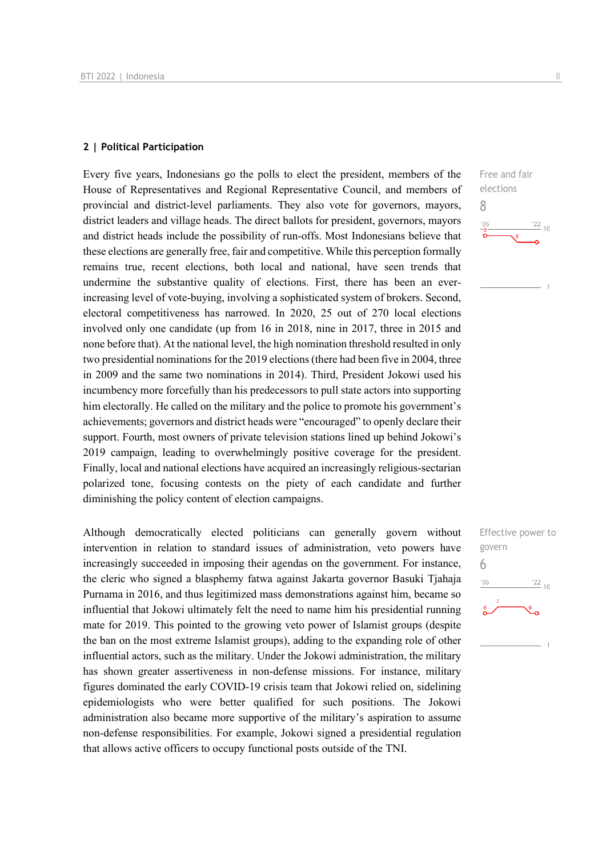#### **2 | Political Participation**

Every five years, Indonesians go the polls to elect the president, members of the House of Representatives and Regional Representative Council, and members of provincial and district-level parliaments. They also vote for governors, mayors, district leaders and village heads. The direct ballots for president, governors, mayors and district heads include the possibility of run-offs. Most Indonesians believe that these elections are generally free, fair and competitive. While this perception formally remains true, recent elections, both local and national, have seen trends that undermine the substantive quality of elections. First, there has been an everincreasing level of vote-buying, involving a sophisticated system of brokers. Second, electoral competitiveness has narrowed. In 2020, 25 out of 270 local elections involved only one candidate (up from 16 in 2018, nine in 2017, three in 2015 and none before that). At the national level, the high nomination threshold resulted in only two presidential nominations for the 2019 elections (there had been five in 2004, three in 2009 and the same two nominations in 2014). Third, President Jokowi used his incumbency more forcefully than his predecessors to pull state actors into supporting him electorally. He called on the military and the police to promote his government's achievements; governors and district heads were "encouraged" to openly declare their support. Fourth, most owners of private television stations lined up behind Jokowi's 2019 campaign, leading to overwhelmingly positive coverage for the president. Finally, local and national elections have acquired an increasingly religious-sectarian polarized tone, focusing contests on the piety of each candidate and further diminishing the policy content of election campaigns.

Although democratically elected politicians can generally govern without intervention in relation to standard issues of administration, veto powers have increasingly succeeded in imposing their agendas on the government. For instance, the cleric who signed a blasphemy fatwa against Jakarta governor Basuki Tjahaja Purnama in 2016, and thus legitimized mass demonstrations against him, became so influential that Jokowi ultimately felt the need to name him his presidential running mate for 2019. This pointed to the growing veto power of Islamist groups (despite the ban on the most extreme Islamist groups), adding to the expanding role of other influential actors, such as the military. Under the Jokowi administration, the military has shown greater assertiveness in non-defense missions. For instance, military figures dominated the early COVID-19 crisis team that Jokowi relied on, sidelining epidemiologists who were better qualified for such positions. The Jokowi administration also became more supportive of the military's aspiration to assume non-defense responsibilities. For example, Jokowi signed a presidential regulation that allows active officers to occupy functional posts outside of the TNI.



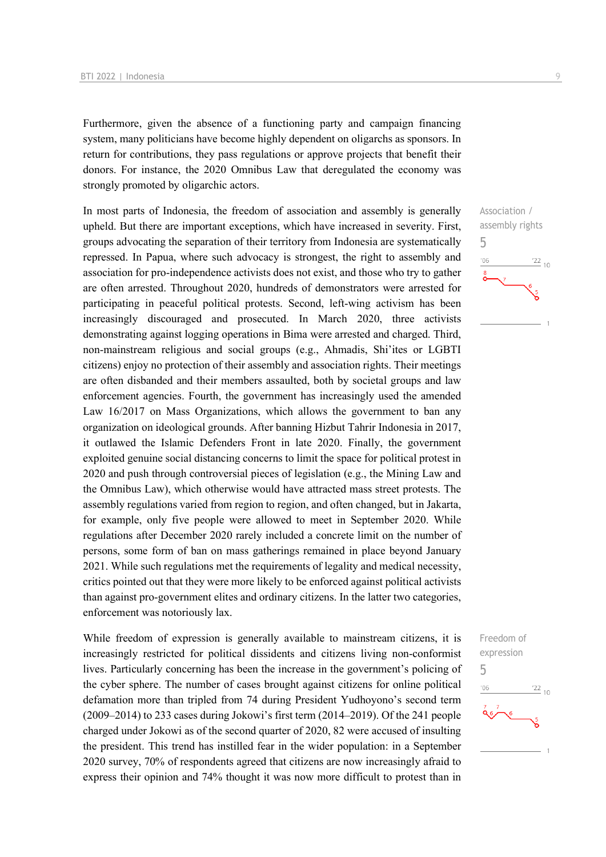Furthermore, given the absence of a functioning party and campaign financing system, many politicians have become highly dependent on oligarchs as sponsors. In return for contributions, they pass regulations or approve projects that benefit their donors. For instance, the 2020 Omnibus Law that deregulated the economy was strongly promoted by oligarchic actors.

In most parts of Indonesia, the freedom of association and assembly is generally upheld. But there are important exceptions, which have increased in severity. First, groups advocating the separation of their territory from Indonesia are systematically repressed. In Papua, where such advocacy is strongest, the right to assembly and association for pro-independence activists does not exist, and those who try to gather are often arrested. Throughout 2020, hundreds of demonstrators were arrested for participating in peaceful political protests. Second, left-wing activism has been increasingly discouraged and prosecuted. In March 2020, three activists demonstrating against logging operations in Bima were arrested and charged. Third, non-mainstream religious and social groups (e.g., Ahmadis, Shi'ites or LGBTI citizens) enjoy no protection of their assembly and association rights. Their meetings are often disbanded and their members assaulted, both by societal groups and law enforcement agencies. Fourth, the government has increasingly used the amended Law 16/2017 on Mass Organizations, which allows the government to ban any organization on ideological grounds. After banning Hizbut Tahrir Indonesia in 2017, it outlawed the Islamic Defenders Front in late 2020. Finally, the government exploited genuine social distancing concerns to limit the space for political protest in 2020 and push through controversial pieces of legislation (e.g., the Mining Law and the Omnibus Law), which otherwise would have attracted mass street protests. The assembly regulations varied from region to region, and often changed, but in Jakarta, for example, only five people were allowed to meet in September 2020. While regulations after December 2020 rarely included a concrete limit on the number of persons, some form of ban on mass gatherings remained in place beyond January 2021. While such regulations met the requirements of legality and medical necessity, critics pointed out that they were more likely to be enforced against political activists than against pro-government elites and ordinary citizens. In the latter two categories, enforcement was notoriously lax.

While freedom of expression is generally available to mainstream citizens, it is increasingly restricted for political dissidents and citizens living non-conformist lives. Particularly concerning has been the increase in the government's policing of the cyber sphere. The number of cases brought against citizens for online political defamation more than tripled from 74 during President Yudhoyono's second term (2009–2014) to 233 cases during Jokowi's first term (2014–2019). Of the 241 people charged under Jokowi as of the second quarter of 2020, 82 were accused of insulting the president. This trend has instilled fear in the wider population: in a September 2020 survey, 70% of respondents agreed that citizens are now increasingly afraid to express their opinion and 74% thought it was now more difficult to protest than in



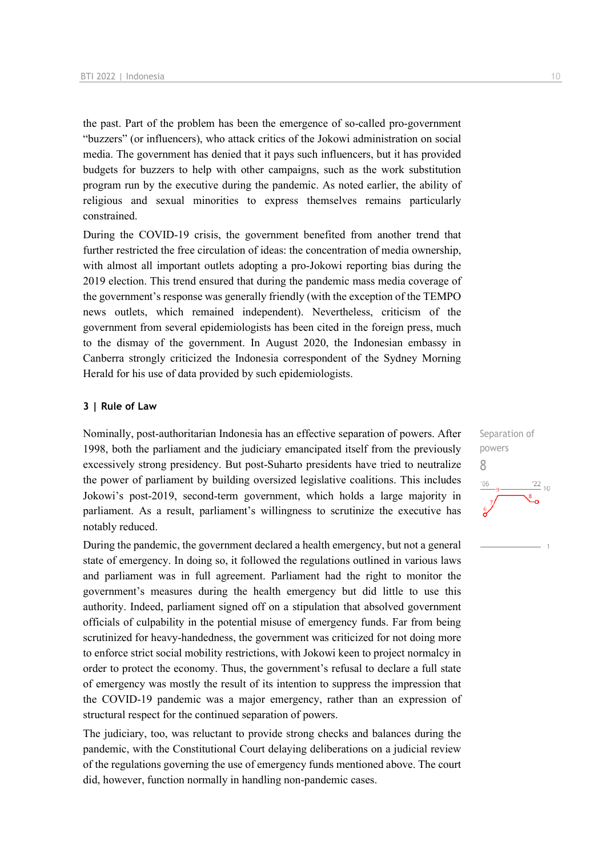the past. Part of the problem has been the emergence of so-called pro-government "buzzers" (or influencers), who attack critics of the Jokowi administration on social media. The government has denied that it pays such influencers, but it has provided budgets for buzzers to help with other campaigns, such as the work substitution program run by the executive during the pandemic. As noted earlier, the ability of religious and sexual minorities to express themselves remains particularly constrained.

During the COVID-19 crisis, the government benefited from another trend that further restricted the free circulation of ideas: the concentration of media ownership, with almost all important outlets adopting a pro-Jokowi reporting bias during the 2019 election. This trend ensured that during the pandemic mass media coverage of the government's response was generally friendly (with the exception of the TEMPO news outlets, which remained independent). Nevertheless, criticism of the government from several epidemiologists has been cited in the foreign press, much to the dismay of the government. In August 2020, the Indonesian embassy in Canberra strongly criticized the Indonesia correspondent of the Sydney Morning Herald for his use of data provided by such epidemiologists.

#### **3 | Rule of Law**

Nominally, post-authoritarian Indonesia has an effective separation of powers. After 1998, both the parliament and the judiciary emancipated itself from the previously excessively strong presidency. But post-Suharto presidents have tried to neutralize the power of parliament by building oversized legislative coalitions. This includes Jokowi's post-2019, second-term government, which holds a large majority in parliament. As a result, parliament's willingness to scrutinize the executive has notably reduced.

During the pandemic, the government declared a health emergency, but not a general state of emergency. In doing so, it followed the regulations outlined in various laws and parliament was in full agreement. Parliament had the right to monitor the government's measures during the health emergency but did little to use this authority. Indeed, parliament signed off on a stipulation that absolved government officials of culpability in the potential misuse of emergency funds. Far from being scrutinized for heavy-handedness, the government was criticized for not doing more to enforce strict social mobility restrictions, with Jokowi keen to project normalcy in order to protect the economy. Thus, the government's refusal to declare a full state of emergency was mostly the result of its intention to suppress the impression that the COVID-19 pandemic was a major emergency, rather than an expression of structural respect for the continued separation of powers.

The judiciary, too, was reluctant to provide strong checks and balances during the pandemic, with the Constitutional Court delaying deliberations on a judicial review of the regulations governing the use of emergency funds mentioned above. The court did, however, function normally in handling non-pandemic cases.

Separation of powers 8 $\frac{22}{10}$  $-06$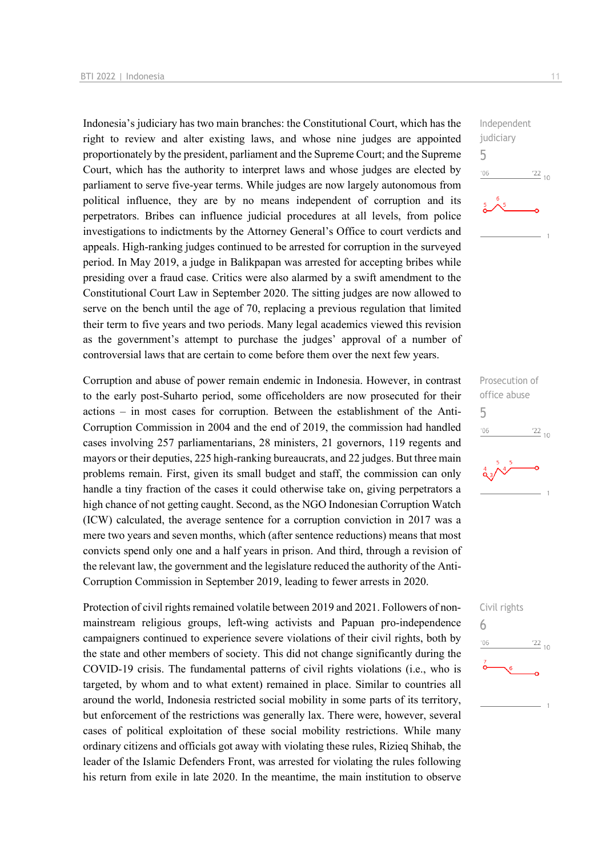Indonesia's judiciary has two main branches: the Constitutional Court, which has the right to review and alter existing laws, and whose nine judges are appointed proportionately by the president, parliament and the Supreme Court; and the Supreme Court, which has the authority to interpret laws and whose judges are elected by parliament to serve five-year terms. While judges are now largely autonomous from political influence, they are by no means independent of corruption and its perpetrators. Bribes can influence judicial procedures at all levels, from police investigations to indictments by the Attorney General's Office to court verdicts and appeals. High-ranking judges continued to be arrested for corruption in the surveyed period. In May 2019, a judge in Balikpapan was arrested for accepting bribes while presiding over a fraud case. Critics were also alarmed by a swift amendment to the Constitutional Court Law in September 2020. The sitting judges are now allowed to serve on the bench until the age of 70, replacing a previous regulation that limited their term to five years and two periods. Many legal academics viewed this revision as the government's attempt to purchase the judges' approval of a number of controversial laws that are certain to come before them over the next few years.

Corruption and abuse of power remain endemic in Indonesia. However, in contrast to the early post-Suharto period, some officeholders are now prosecuted for their actions – in most cases for corruption. Between the establishment of the Anti-Corruption Commission in 2004 and the end of 2019, the commission had handled cases involving 257 parliamentarians, 28 ministers, 21 governors, 119 regents and mayors or their deputies, 225 high-ranking bureaucrats, and 22 judges. But three main problems remain. First, given its small budget and staff, the commission can only handle a tiny fraction of the cases it could otherwise take on, giving perpetrators a high chance of not getting caught. Second, as the NGO Indonesian Corruption Watch (ICW) calculated, the average sentence for a corruption conviction in 2017 was a mere two years and seven months, which (after sentence reductions) means that most convicts spend only one and a half years in prison. And third, through a revision of the relevant law, the government and the legislature reduced the authority of the Anti-Corruption Commission in September 2019, leading to fewer arrests in 2020.

Protection of civil rights remained volatile between 2019 and 2021. Followers of nonmainstream religious groups, left-wing activists and Papuan pro-independence campaigners continued to experience severe violations of their civil rights, both by the state and other members of society. This did not change significantly during the COVID-19 crisis. The fundamental patterns of civil rights violations (i.e., who is targeted, by whom and to what extent) remained in place. Similar to countries all around the world, Indonesia restricted social mobility in some parts of its territory, but enforcement of the restrictions was generally lax. There were, however, several cases of political exploitation of these social mobility restrictions. While many ordinary citizens and officials got away with violating these rules, Rizieq Shihab, the leader of the Islamic Defenders Front, was arrested for violating the rules following his return from exile in late 2020. In the meantime, the main institution to observe



Prosecution of office abuse 5  $\frac{22}{10}$  $^{\prime}06$ 

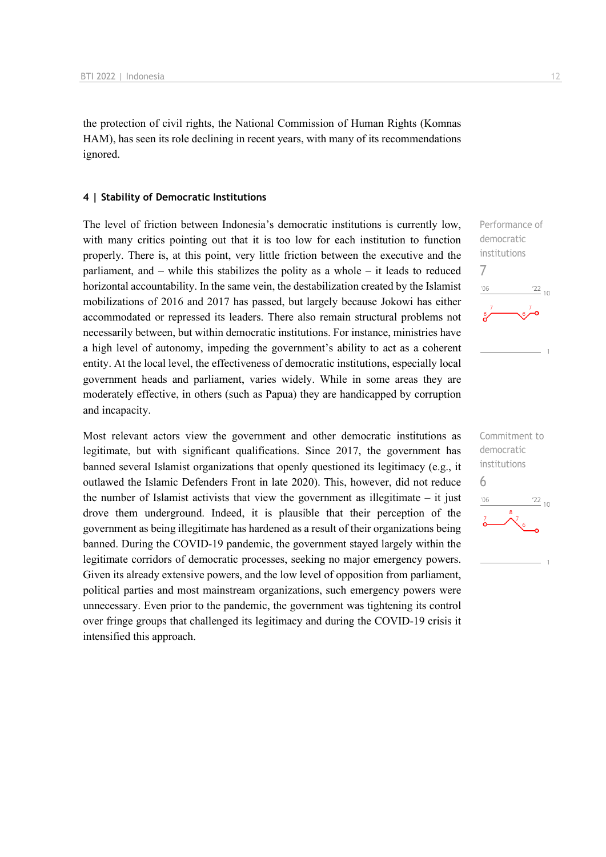the protection of civil rights, the National Commission of Human Rights (Komnas HAM), has seen its role declining in recent years, with many of its recommendations ignored.

#### **4 | Stability of Democratic Institutions**

The level of friction between Indonesia's democratic institutions is currently low, with many critics pointing out that it is too low for each institution to function properly. There is, at this point, very little friction between the executive and the parliament, and – while this stabilizes the polity as a whole – it leads to reduced horizontal accountability. In the same vein, the destabilization created by the Islamist mobilizations of 2016 and 2017 has passed, but largely because Jokowi has either accommodated or repressed its leaders. There also remain structural problems not necessarily between, but within democratic institutions. For instance, ministries have a high level of autonomy, impeding the government's ability to act as a coherent entity. At the local level, the effectiveness of democratic institutions, especially local government heads and parliament, varies widely. While in some areas they are moderately effective, in others (such as Papua) they are handicapped by corruption and incapacity.

Most relevant actors view the government and other democratic institutions as legitimate, but with significant qualifications. Since 2017, the government has banned several Islamist organizations that openly questioned its legitimacy (e.g., it outlawed the Islamic Defenders Front in late 2020). This, however, did not reduce the number of Islamist activists that view the government as illegitimate  $-$  it just drove them underground. Indeed, it is plausible that their perception of the government as being illegitimate has hardened as a result of their organizations being banned. During the COVID-19 pandemic, the government stayed largely within the legitimate corridors of democratic processes, seeking no major emergency powers. Given its already extensive powers, and the low level of opposition from parliament, political parties and most mainstream organizations, such emergency powers were unnecessary. Even prior to the pandemic, the government was tightening its control over fringe groups that challenged its legitimacy and during the COVID-19 crisis it intensified this approach.



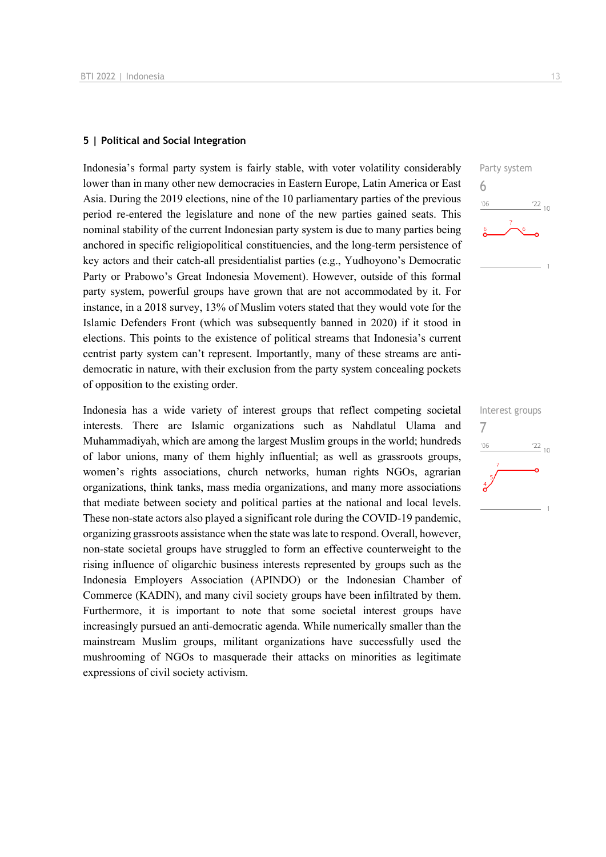#### **5 | Political and Social Integration**

Indonesia's formal party system is fairly stable, with voter volatility considerably lower than in many other new democracies in Eastern Europe, Latin America or East Asia. During the 2019 elections, nine of the 10 parliamentary parties of the previous period re-entered the legislature and none of the new parties gained seats. This nominal stability of the current Indonesian party system is due to many parties being anchored in specific religiopolitical constituencies, and the long-term persistence of key actors and their catch-all presidentialist parties (e.g., Yudhoyono's Democratic Party or Prabowo's Great Indonesia Movement). However, outside of this formal party system, powerful groups have grown that are not accommodated by it. For instance, in a 2018 survey, 13% of Muslim voters stated that they would vote for the Islamic Defenders Front (which was subsequently banned in 2020) if it stood in elections. This points to the existence of political streams that Indonesia's current centrist party system can't represent. Importantly, many of these streams are antidemocratic in nature, with their exclusion from the party system concealing pockets of opposition to the existing order.

Indonesia has a wide variety of interest groups that reflect competing societal interests. There are Islamic organizations such as Nahdlatul Ulama and Muhammadiyah, which are among the largest Muslim groups in the world; hundreds of labor unions, many of them highly influential; as well as grassroots groups, women's rights associations, church networks, human rights NGOs, agrarian organizations, think tanks, mass media organizations, and many more associations that mediate between society and political parties at the national and local levels. These non-state actors also played a significant role during the COVID-19 pandemic, organizing grassroots assistance when the state was late to respond. Overall, however, non-state societal groups have struggled to form an effective counterweight to the rising influence of oligarchic business interests represented by groups such as the Indonesia Employers Association (APINDO) or the Indonesian Chamber of Commerce (KADIN), and many civil society groups have been infiltrated by them. Furthermore, it is important to note that some societal interest groups have increasingly pursued an anti-democratic agenda. While numerically smaller than the mainstream Muslim groups, militant organizations have successfully used the mushrooming of NGOs to masquerade their attacks on minorities as legitimate expressions of civil society activism.



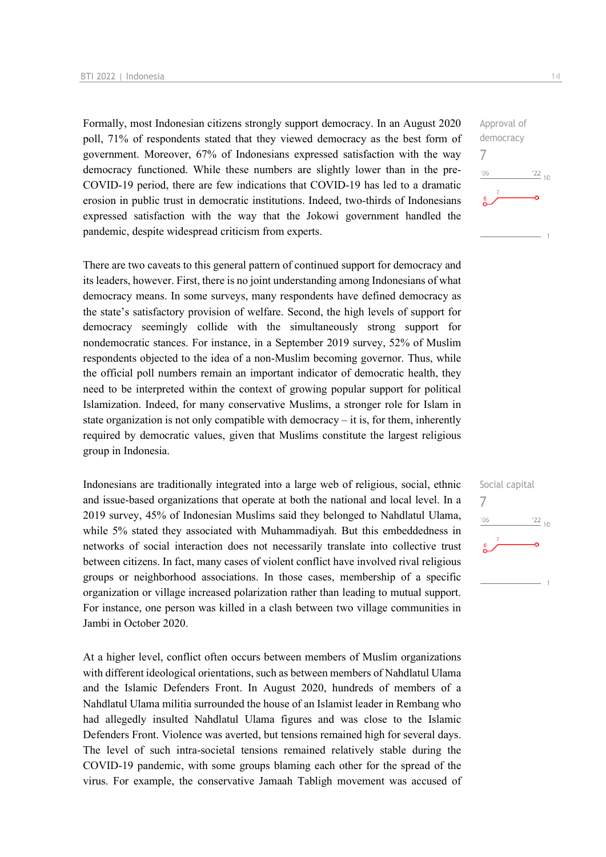Formally, most Indonesian citizens strongly support democracy. In an August 2020 poll, 71% of respondents stated that they viewed democracy as the best form of government. Moreover, 67% of Indonesians expressed satisfaction with the way democracy functioned. While these numbers are slightly lower than in the pre-COVID-19 period, there are few indications that COVID-19 has led to a dramatic erosion in public trust in democratic institutions. Indeed, two-thirds of Indonesians expressed satisfaction with the way that the Jokowi government handled the pandemic, despite widespread criticism from experts.

There are two caveats to this general pattern of continued support for democracy and its leaders, however. First, there is no joint understanding among Indonesians of what democracy means. In some surveys, many respondents have defined democracy as the state's satisfactory provision of welfare. Second, the high levels of support for democracy seemingly collide with the simultaneously strong support for nondemocratic stances. For instance, in a September 2019 survey, 52% of Muslim respondents objected to the idea of a non-Muslim becoming governor. Thus, while the official poll numbers remain an important indicator of democratic health, they need to be interpreted within the context of growing popular support for political Islamization. Indeed, for many conservative Muslims, a stronger role for Islam in state organization is not only compatible with democracy  $-$  it is, for them, inherently required by democratic values, given that Muslims constitute the largest religious group in Indonesia.

Indonesians are traditionally integrated into a large web of religious, social, ethnic and issue-based organizations that operate at both the national and local level. In a 2019 survey, 45% of Indonesian Muslims said they belonged to Nahdlatul Ulama, while 5% stated they associated with Muhammadiyah. But this embeddedness in networks of social interaction does not necessarily translate into collective trust between citizens. In fact, many cases of violent conflict have involved rival religious groups or neighborhood associations. In those cases, membership of a specific organization or village increased polarization rather than leading to mutual support. For instance, one person was killed in a clash between two village communities in Jambi in October 2020.

At a higher level, conflict often occurs between members of Muslim organizations with different ideological orientations, such as between members of Nahdlatul Ulama and the Islamic Defenders Front. In August 2020, hundreds of members of a Nahdlatul Ulama militia surrounded the house of an Islamist leader in Rembang who had allegedly insulted Nahdlatul Ulama figures and was close to the Islamic Defenders Front. Violence was averted, but tensions remained high for several days. The level of such intra-societal tensions remained relatively stable during the COVID-19 pandemic, with some groups blaming each other for the spread of the virus. For example, the conservative Jamaah Tabligh movement was accused of



Social capital 7 $-06$  $\frac{22}{10}$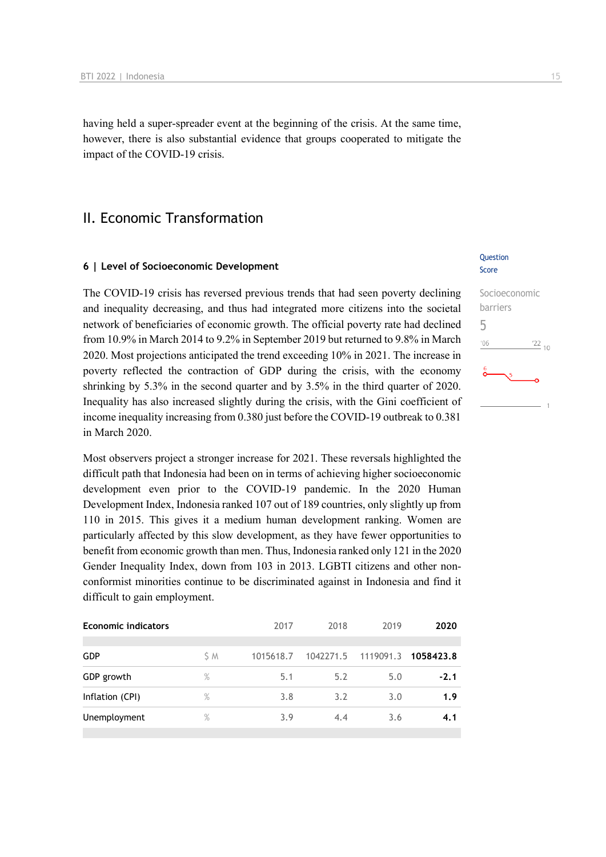having held a super-spreader event at the beginning of the crisis. At the same time, however, there is also substantial evidence that groups cooperated to mitigate the impact of the COVID-19 crisis.

## II. Economic Transformation

#### **6 | Level of Socioeconomic Development**

The COVID-19 crisis has reversed previous trends that had seen poverty declining and inequality decreasing, and thus had integrated more citizens into the societal network of beneficiaries of economic growth. The official poverty rate had declined from 10.9% in March 2014 to 9.2% in September 2019 but returned to 9.8% in March 2020. Most projections anticipated the trend exceeding 10% in 2021. The increase in poverty reflected the contraction of GDP during the crisis, with the economy shrinking by 5.3% in the second quarter and by 3.5% in the third quarter of 2020. Inequality has also increased slightly during the crisis, with the Gini coefficient of income inequality increasing from 0.380 just before the COVID-19 outbreak to 0.381 in March 2020.

Most observers project a stronger increase for 2021. These reversals highlighted the difficult path that Indonesia had been on in terms of achieving higher socioeconomic development even prior to the COVID-19 pandemic. In the 2020 Human Development Index, Indonesia ranked 107 out of 189 countries, only slightly up from 110 in 2015. This gives it a medium human development ranking. Women are particularly affected by this slow development, as they have fewer opportunities to benefit from economic growth than men. Thus, Indonesia ranked only 121 in the 2020 Gender Inequality Index, down from 103 in 2013. LGBTI citizens and other nonconformist minorities continue to be discriminated against in Indonesia and find it difficult to gain employment.

| 2017                 | 2018 | 2019 | 2020                |
|----------------------|------|------|---------------------|
|                      |      |      |                     |
| 1015618.7            |      |      | 1058423.8           |
| 5.1                  | 5.2  | 5.0  | $-2.1$              |
| 3.8                  | 3.2  | 3.0  | 1.9                 |
| 3.9                  | 4.4  | 3.6  | 4.1                 |
| $\%$<br>$\%$<br>$\%$ | S M  |      | 1042271.5 1119091.3 |

#### Question Score

## Socioeconomic barriers 5  $-06$  $\frac{22}{10}$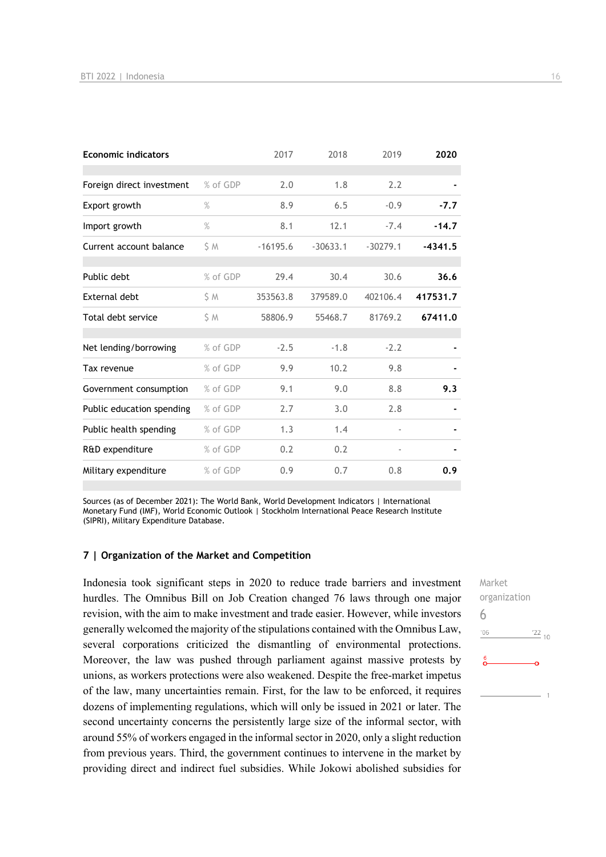| <b>Economic indicators</b> |          | 2017       | 2018       | 2019                     | 2020      |
|----------------------------|----------|------------|------------|--------------------------|-----------|
|                            |          |            |            |                          |           |
| Foreign direct investment  | % of GDP | 2.0        | 1.8        | 2.2                      |           |
| Export growth              | $\%$     | 8.9        | 6.5        | $-0.9$                   | $-7.7$    |
| Import growth              | $\%$     | 8.1        | 12.1       | $-7.4$                   | $-14.7$   |
| Current account balance    | S M      | $-16195.6$ | $-30633.1$ | $-30279.1$               | $-4341.5$ |
| Public debt                | % of GDP | 29.4       | 30.4       | 30.6                     | 36.6      |
| <b>External debt</b>       | S M      | 353563.8   | 379589.0   | 402106.4                 | 417531.7  |
| Total debt service         | \$ M     | 58806.9    | 55468.7    | 81769.2                  | 67411.0   |
|                            |          |            |            |                          |           |
| Net lending/borrowing      | % of GDP | $-2.5$     | $-1.8$     | $-2.2$                   |           |
| Tax revenue                | % of GDP | 9.9        | 10.2       | 9.8                      |           |
| Government consumption     | % of GDP | 9.1        | 9.0        | 8.8                      | 9.3       |
| Public education spending  | % of GDP | 2.7        | 3.0        | 2.8                      |           |
| Public health spending     | % of GDP | 1.3        | 1.4        | $\overline{\phantom{a}}$ |           |
| R&D expenditure            | % of GDP | 0.2        | 0.2        | $\overline{\phantom{0}}$ |           |
| Military expenditure       | % of GDP | 0.9        | 0.7        | 0.8                      | 0.9       |

Sources (as of December 2021): The World Bank, World Development Indicators | International Monetary Fund (IMF), World Economic Outlook | Stockholm International Peace Research Institute (SIPRI), Military Expenditure Database.

#### **7 | Organization of the Market and Competition**

Indonesia took significant steps in 2020 to reduce trade barriers and investment hurdles. The Omnibus Bill on Job Creation changed 76 laws through one major revision, with the aim to make investment and trade easier. However, while investors generally welcomed the majority of the stipulations contained with the Omnibus Law, several corporations criticized the dismantling of environmental protections. Moreover, the law was pushed through parliament against massive protests by unions, as workers protections were also weakened. Despite the free-market impetus of the law, many uncertainties remain. First, for the law to be enforced, it requires dozens of implementing regulations, which will only be issued in 2021 or later. The second uncertainty concerns the persistently large size of the informal sector, with around 55% of workers engaged in the informal sector in 2020, only a slight reduction from previous years. Third, the government continues to intervene in the market by providing direct and indirect fuel subsidies. While Jokowi abolished subsidies for

Market organization 6 $\frac{22}{10}$  $106$  $\overline{1}$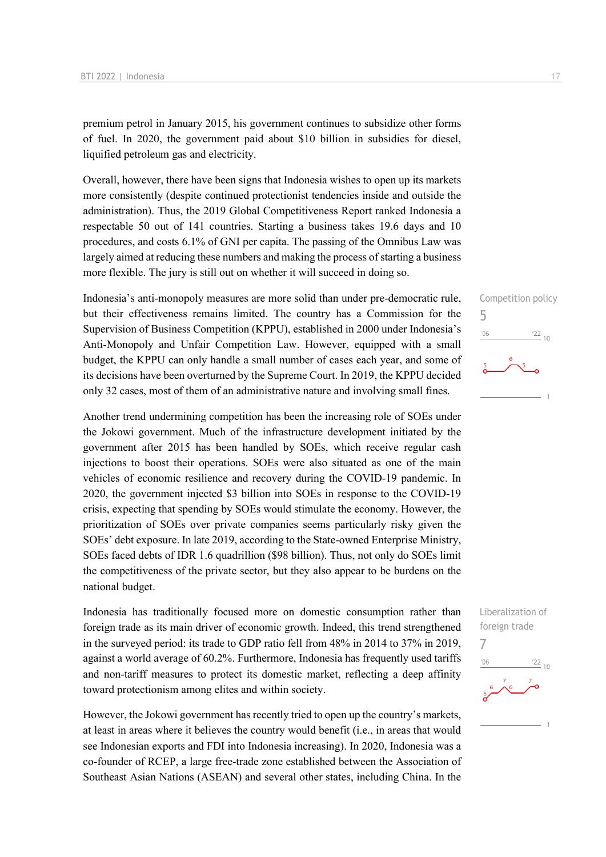premium petrol in January 2015, his government continues to subsidize other forms of fuel. In 2020, the government paid about \$10 billion in subsidies for diesel, liquified petroleum gas and electricity.

Overall, however, there have been signs that Indonesia wishes to open up its markets more consistently (despite continued protectionist tendencies inside and outside the administration). Thus, the 2019 Global Competitiveness Report ranked Indonesia a respectable 50 out of 141 countries. Starting a business takes 19.6 days and 10 procedures, and costs 6.1% of GNI per capita. The passing of the Omnibus Law was largely aimed at reducing these numbers and making the process of starting a business more flexible. The jury is still out on whether it will succeed in doing so.

Indonesia's anti-monopoly measures are more solid than under pre-democratic rule, but their effectiveness remains limited. The country has a Commission for the Supervision of Business Competition (KPPU), established in 2000 under Indonesia's Anti-Monopoly and Unfair Competition Law. However, equipped with a small budget, the KPPU can only handle a small number of cases each year, and some of its decisions have been overturned by the Supreme Court. In 2019, the KPPU decided only 32 cases, most of them of an administrative nature and involving small fines.

Another trend undermining competition has been the increasing role of SOEs under the Jokowi government. Much of the infrastructure development initiated by the government after 2015 has been handled by SOEs, which receive regular cash injections to boost their operations. SOEs were also situated as one of the main vehicles of economic resilience and recovery during the COVID-19 pandemic. In 2020, the government injected \$3 billion into SOEs in response to the COVID-19 crisis, expecting that spending by SOEs would stimulate the economy. However, the prioritization of SOEs over private companies seems particularly risky given the SOEs' debt exposure. In late 2019, according to the State-owned Enterprise Ministry, SOEs faced debts of IDR 1.6 quadrillion (\$98 billion). Thus, not only do SOEs limit the competitiveness of the private sector, but they also appear to be burdens on the national budget.

Indonesia has traditionally focused more on domestic consumption rather than foreign trade as its main driver of economic growth. Indeed, this trend strengthened in the surveyed period: its trade to GDP ratio fell from 48% in 2014 to 37% in 2019, against a world average of 60.2%. Furthermore, Indonesia has frequently used tariffs and non-tariff measures to protect its domestic market, reflecting a deep affinity toward protectionism among elites and within society.

However, the Jokowi government has recently tried to open up the country's markets, at least in areas where it believes the country would benefit (i.e., in areas that would see Indonesian exports and FDI into Indonesia increasing). In 2020, Indonesia was a co-founder of RCEP, a large free-trade zone established between the Association of Southeast Asian Nations (ASEAN) and several other states, including China. In the

## Competition policy 5  $\frac{22}{10}$  $06'$

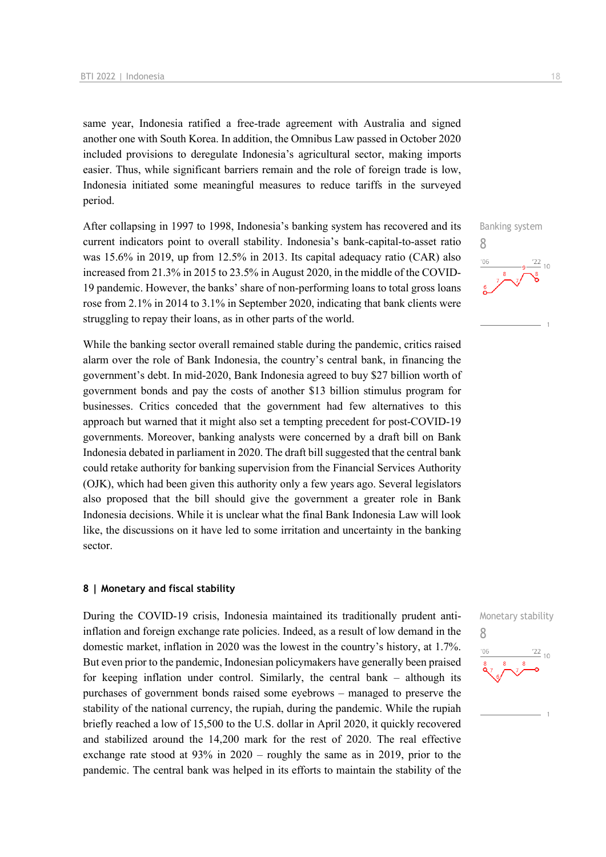same year, Indonesia ratified a free-trade agreement with Australia and signed another one with South Korea. In addition, the Omnibus Law passed in October 2020 included provisions to deregulate Indonesia's agricultural sector, making imports easier. Thus, while significant barriers remain and the role of foreign trade is low, Indonesia initiated some meaningful measures to reduce tariffs in the surveyed period.

After collapsing in 1997 to 1998, Indonesia's banking system has recovered and its current indicators point to overall stability. Indonesia's bank-capital-to-asset ratio was 15.6% in 2019, up from 12.5% in 2013. Its capital adequacy ratio (CAR) also increased from 21.3% in 2015 to 23.5% in August 2020, in the middle of the COVID-19 pandemic. However, the banks' share of non-performing loans to total gross loans rose from 2.1% in 2014 to 3.1% in September 2020, indicating that bank clients were struggling to repay their loans, as in other parts of the world.

While the banking sector overall remained stable during the pandemic, critics raised alarm over the role of Bank Indonesia, the country's central bank, in financing the government's debt. In mid-2020, Bank Indonesia agreed to buy \$27 billion worth of government bonds and pay the costs of another \$13 billion stimulus program for businesses. Critics conceded that the government had few alternatives to this approach but warned that it might also set a tempting precedent for post-COVID-19 governments. Moreover, banking analysts were concerned by a draft bill on Bank Indonesia debated in parliament in 2020. The draft bill suggested that the central bank could retake authority for banking supervision from the Financial Services Authority (OJK), which had been given this authority only a few years ago. Several legislators also proposed that the bill should give the government a greater role in Bank Indonesia decisions. While it is unclear what the final Bank Indonesia Law will look like, the discussions on it have led to some irritation and uncertainty in the banking sector.

#### **8 | Monetary and fiscal stability**

During the COVID-19 crisis, Indonesia maintained its traditionally prudent antiinflation and foreign exchange rate policies. Indeed, as a result of low demand in the domestic market, inflation in 2020 was the lowest in the country's history, at 1.7%. But even prior to the pandemic, Indonesian policymakers have generally been praised for keeping inflation under control. Similarly, the central bank – although its purchases of government bonds raised some eyebrows – managed to preserve the stability of the national currency, the rupiah, during the pandemic. While the rupiah briefly reached a low of 15,500 to the U.S. dollar in April 2020, it quickly recovered and stabilized around the 14,200 mark for the rest of 2020. The real effective exchange rate stood at 93% in 2020 – roughly the same as in 2019, prior to the pandemic. The central bank was helped in its efforts to maintain the stability of the



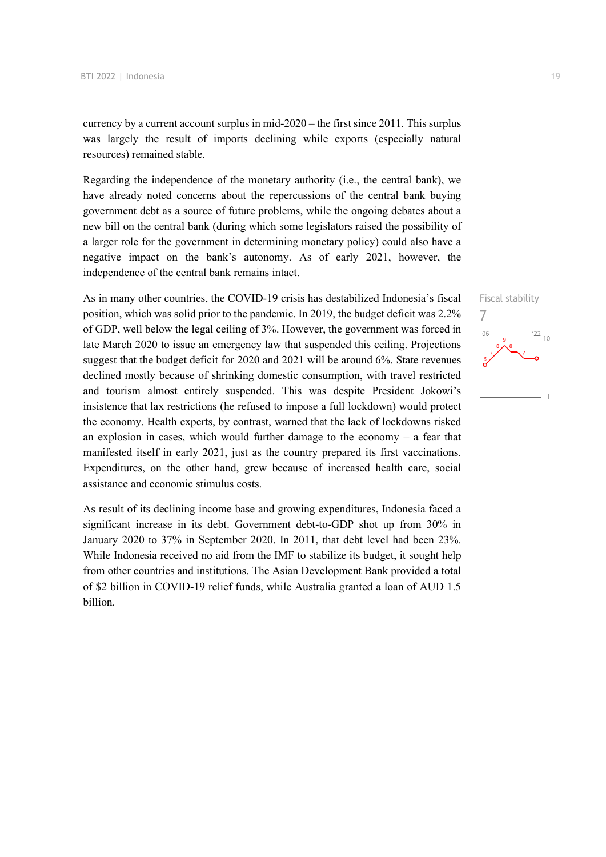currency by a current account surplus in mid-2020 – the first since 2011. This surplus was largely the result of imports declining while exports (especially natural resources) remained stable.

Regarding the independence of the monetary authority (i.e., the central bank), we have already noted concerns about the repercussions of the central bank buying government debt as a source of future problems, while the ongoing debates about a new bill on the central bank (during which some legislators raised the possibility of a larger role for the government in determining monetary policy) could also have a negative impact on the bank's autonomy. As of early 2021, however, the independence of the central bank remains intact.

As in many other countries, the COVID-19 crisis has destabilized Indonesia's fiscal position, which was solid prior to the pandemic. In 2019, the budget deficit was 2.2% of GDP, well below the legal ceiling of 3%. However, the government was forced in late March 2020 to issue an emergency law that suspended this ceiling. Projections suggest that the budget deficit for 2020 and 2021 will be around 6%. State revenues declined mostly because of shrinking domestic consumption, with travel restricted and tourism almost entirely suspended. This was despite President Jokowi's insistence that lax restrictions (he refused to impose a full lockdown) would protect the economy. Health experts, by contrast, warned that the lack of lockdowns risked an explosion in cases, which would further damage to the economy  $-$  a fear that manifested itself in early 2021, just as the country prepared its first vaccinations. Expenditures, on the other hand, grew because of increased health care, social assistance and economic stimulus costs.

As result of its declining income base and growing expenditures, Indonesia faced a significant increase in its debt. Government debt-to-GDP shot up from 30% in January 2020 to 37% in September 2020. In 2011, that debt level had been 23%. While Indonesia received no aid from the IMF to stabilize its budget, it sought help from other countries and institutions. The Asian Development Bank provided a total of \$2 billion in COVID-19 relief funds, while Australia granted a loan of AUD 1.5 billion.

Fiscal stability 7 $\frac{22}{10}$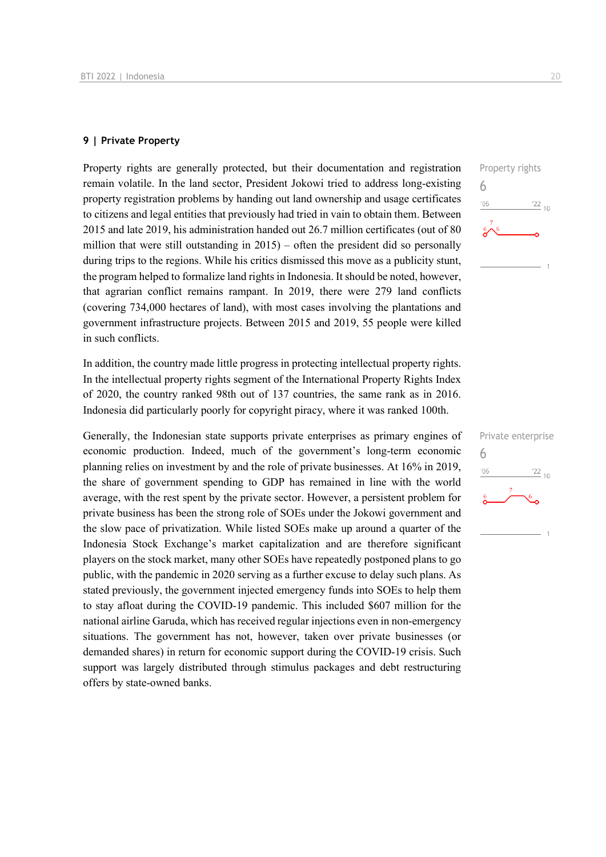#### **9 | Private Property**

Property rights are generally protected, but their documentation and registration remain volatile. In the land sector, President Jokowi tried to address long-existing property registration problems by handing out land ownership and usage certificates to citizens and legal entities that previously had tried in vain to obtain them. Between 2015 and late 2019, his administration handed out 26.7 million certificates (out of 80 million that were still outstanding in  $2015$ ) – often the president did so personally during trips to the regions. While his critics dismissed this move as a publicity stunt, the program helped to formalize land rights in Indonesia. It should be noted, however, that agrarian conflict remains rampant. In 2019, there were 279 land conflicts (covering 734,000 hectares of land), with most cases involving the plantations and government infrastructure projects. Between 2015 and 2019, 55 people were killed in such conflicts.

In addition, the country made little progress in protecting intellectual property rights. In the intellectual property rights segment of the International Property Rights Index of 2020, the country ranked 98th out of 137 countries, the same rank as in 2016. Indonesia did particularly poorly for copyright piracy, where it was ranked 100th.

Generally, the Indonesian state supports private enterprises as primary engines of economic production. Indeed, much of the government's long-term economic planning relies on investment by and the role of private businesses. At 16% in 2019, the share of government spending to GDP has remained in line with the world average, with the rest spent by the private sector. However, a persistent problem for private business has been the strong role of SOEs under the Jokowi government and the slow pace of privatization. While listed SOEs make up around a quarter of the Indonesia Stock Exchange's market capitalization and are therefore significant players on the stock market, many other SOEs have repeatedly postponed plans to go public, with the pandemic in 2020 serving as a further excuse to delay such plans. As stated previously, the government injected emergency funds into SOEs to help them to stay afloat during the COVID-19 pandemic. This included \$607 million for the national airline Garuda, which has received regular injections even in non-emergency situations. The government has not, however, taken over private businesses (or demanded shares) in return for economic support during the COVID-19 crisis. Such support was largely distributed through stimulus packages and debt restructuring offers by state-owned banks.



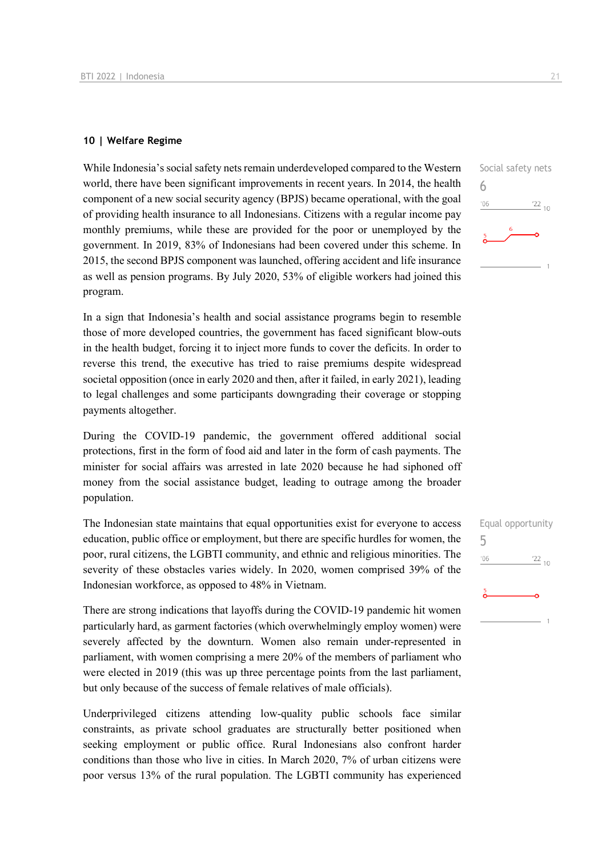#### **10 | Welfare Regime**

While Indonesia's social safety nets remain underdeveloped compared to the Western world, there have been significant improvements in recent years. In 2014, the health component of a new social security agency (BPJS) became operational, with the goal of providing health insurance to all Indonesians. Citizens with a regular income pay monthly premiums, while these are provided for the poor or unemployed by the government. In 2019, 83% of Indonesians had been covered under this scheme. In 2015, the second BPJS component was launched, offering accident and life insurance as well as pension programs. By July 2020, 53% of eligible workers had joined this program.

In a sign that Indonesia's health and social assistance programs begin to resemble those of more developed countries, the government has faced significant blow-outs in the health budget, forcing it to inject more funds to cover the deficits. In order to reverse this trend, the executive has tried to raise premiums despite widespread societal opposition (once in early 2020 and then, after it failed, in early 2021), leading to legal challenges and some participants downgrading their coverage or stopping payments altogether.

During the COVID-19 pandemic, the government offered additional social protections, first in the form of food aid and later in the form of cash payments. The minister for social affairs was arrested in late 2020 because he had siphoned off money from the social assistance budget, leading to outrage among the broader population.

The Indonesian state maintains that equal opportunities exist for everyone to access education, public office or employment, but there are specific hurdles for women, the poor, rural citizens, the LGBTI community, and ethnic and religious minorities. The severity of these obstacles varies widely. In 2020, women comprised 39% of the Indonesian workforce, as opposed to 48% in Vietnam.

There are strong indications that layoffs during the COVID-19 pandemic hit women particularly hard, as garment factories (which overwhelmingly employ women) were severely affected by the downturn. Women also remain under-represented in parliament, with women comprising a mere 20% of the members of parliament who were elected in 2019 (this was up three percentage points from the last parliament, but only because of the success of female relatives of male officials).

Underprivileged citizens attending low-quality public schools face similar constraints, as private school graduates are structurally better positioned when seeking employment or public office. Rural Indonesians also confront harder conditions than those who live in cities. In March 2020, 7% of urban citizens were poor versus 13% of the rural population. The LGBTI community has experienced



|     | Equal opportunity |
|-----|-------------------|
| 5   |                   |
| '06 | $\frac{22}{10}$   |
|     |                   |
| 5   |                   |
|     |                   |
|     |                   |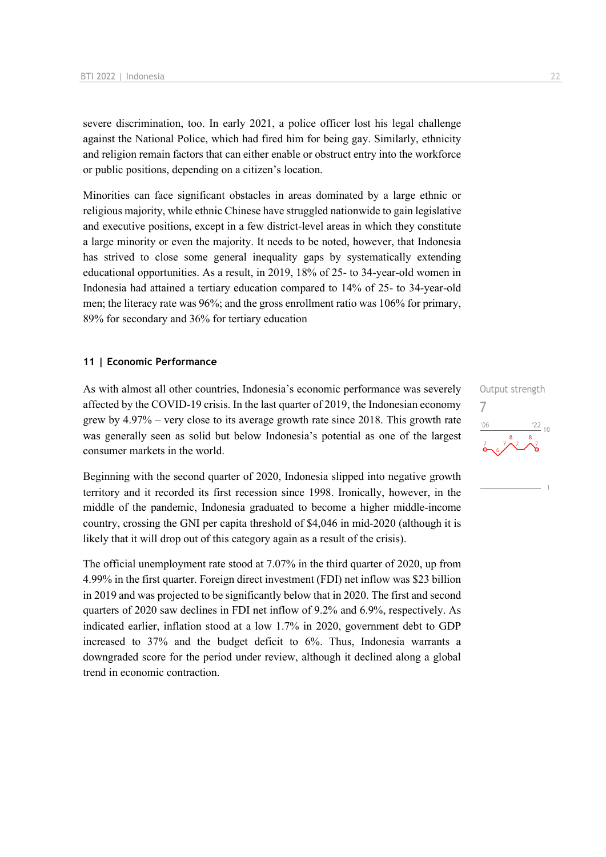severe discrimination, too. In early 2021, a police officer lost his legal challenge against the National Police, which had fired him for being gay. Similarly, ethnicity and religion remain factors that can either enable or obstruct entry into the workforce or public positions, depending on a citizen's location.

Minorities can face significant obstacles in areas dominated by a large ethnic or religious majority, while ethnic Chinese have struggled nationwide to gain legislative and executive positions, except in a few district-level areas in which they constitute a large minority or even the majority. It needs to be noted, however, that Indonesia has strived to close some general inequality gaps by systematically extending educational opportunities. As a result, in 2019, 18% of 25- to 34-year-old women in Indonesia had attained a tertiary education compared to 14% of 25- to 34-year-old men; the literacy rate was 96%; and the gross enrollment ratio was 106% for primary, 89% for secondary and 36% for tertiary education

#### **11 | Economic Performance**

As with almost all other countries, Indonesia's economic performance was severely affected by the COVID-19 crisis. In the last quarter of 2019, the Indonesian economy grew by 4.97% – very close to its average growth rate since 2018. This growth rate was generally seen as solid but below Indonesia's potential as one of the largest consumer markets in the world.

Beginning with the second quarter of 2020, Indonesia slipped into negative growth territory and it recorded its first recession since 1998. Ironically, however, in the middle of the pandemic, Indonesia graduated to become a higher middle-income country, crossing the GNI per capita threshold of \$4,046 in mid-2020 (although it is likely that it will drop out of this category again as a result of the crisis).

The official unemployment rate stood at 7.07% in the third quarter of 2020, up from 4.99% in the first quarter. Foreign direct investment (FDI) net inflow was \$23 billion in 2019 and was projected to be significantly below that in 2020. The first and second quarters of 2020 saw declines in FDI net inflow of 9.2% and 6.9%, respectively. As indicated earlier, inflation stood at a low 1.7% in 2020, government debt to GDP increased to 37% and the budget deficit to 6%. Thus, Indonesia warrants a downgraded score for the period under review, although it declined along a global trend in economic contraction.

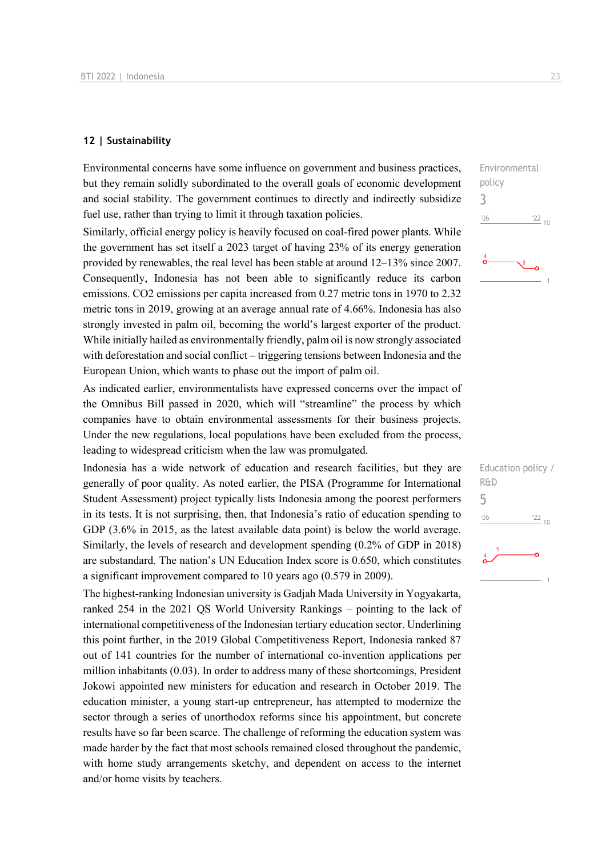#### **12 | Sustainability**

Environmental concerns have some influence on government and business practices, but they remain solidly subordinated to the overall goals of economic development and social stability. The government continues to directly and indirectly subsidize fuel use, rather than trying to limit it through taxation policies.

Similarly, official energy policy is heavily focused on coal-fired power plants. While the government has set itself a 2023 target of having 23% of its energy generation provided by renewables, the real level has been stable at around 12–13% since 2007. Consequently, Indonesia has not been able to significantly reduce its carbon emissions. CO2 emissions per capita increased from 0.27 metric tons in 1970 to 2.32 metric tons in 2019, growing at an average annual rate of 4.66%. Indonesia has also strongly invested in palm oil, becoming the world's largest exporter of the product. While initially hailed as environmentally friendly, palm oil is now strongly associated with deforestation and social conflict – triggering tensions between Indonesia and the European Union, which wants to phase out the import of palm oil.

As indicated earlier, environmentalists have expressed concerns over the impact of the Omnibus Bill passed in 2020, which will "streamline" the process by which companies have to obtain environmental assessments for their business projects. Under the new regulations, local populations have been excluded from the process, leading to widespread criticism when the law was promulgated.

Indonesia has a wide network of education and research facilities, but they are generally of poor quality. As noted earlier, the PISA (Programme for International Student Assessment) project typically lists Indonesia among the poorest performers in its tests. It is not surprising, then, that Indonesia's ratio of education spending to GDP (3.6% in 2015, as the latest available data point) is below the world average. Similarly, the levels of research and development spending (0.2% of GDP in 2018) are substandard. The nation's UN Education Index score is 0.650, which constitutes a significant improvement compared to 10 years ago (0.579 in 2009).

The highest-ranking Indonesian university is Gadjah Mada University in Yogyakarta, ranked 254 in the 2021 QS World University Rankings – pointing to the lack of international competitiveness of the Indonesian tertiary education sector. Underlining this point further, in the 2019 Global Competitiveness Report, Indonesia ranked 87 out of 141 countries for the number of international co-invention applications per million inhabitants (0.03). In order to address many of these shortcomings, President Jokowi appointed new ministers for education and research in October 2019. The education minister, a young start-up entrepreneur, has attempted to modernize the sector through a series of unorthodox reforms since his appointment, but concrete results have so far been scarce. The challenge of reforming the education system was made harder by the fact that most schools remained closed throughout the pandemic, with home study arrangements sketchy, and dependent on access to the internet and/or home visits by teachers.

Environmental policy 3  $06'$  $\frac{22}{10}$ 

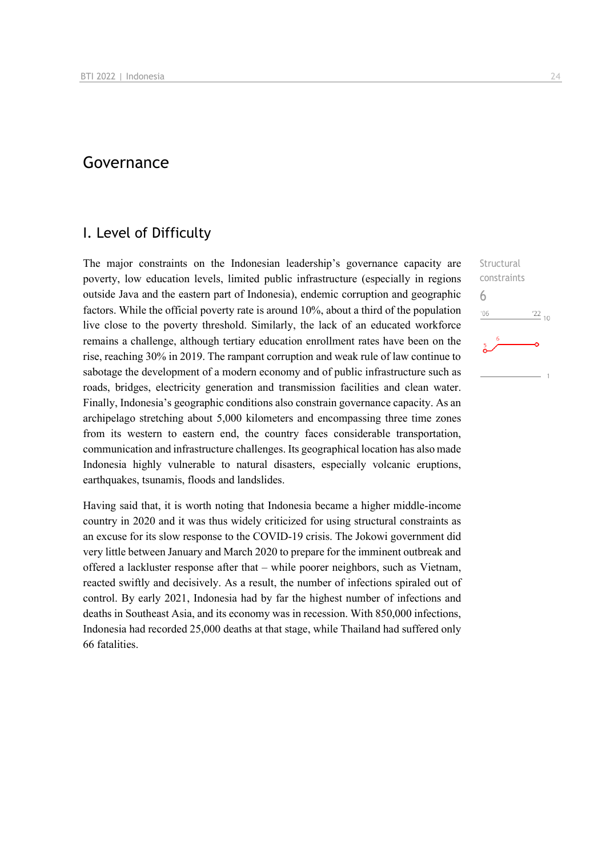### Governance

### I. Level of Difficulty

The major constraints on the Indonesian leadership's governance capacity are poverty, low education levels, limited public infrastructure (especially in regions outside Java and the eastern part of Indonesia), endemic corruption and geographic factors. While the official poverty rate is around 10%, about a third of the population live close to the poverty threshold. Similarly, the lack of an educated workforce remains a challenge, although tertiary education enrollment rates have been on the rise, reaching 30% in 2019. The rampant corruption and weak rule of law continue to sabotage the development of a modern economy and of public infrastructure such as roads, bridges, electricity generation and transmission facilities and clean water. Finally, Indonesia's geographic conditions also constrain governance capacity. As an archipelago stretching about 5,000 kilometers and encompassing three time zones from its western to eastern end, the country faces considerable transportation, communication and infrastructure challenges. Its geographical location has also made Indonesia highly vulnerable to natural disasters, especially volcanic eruptions, earthquakes, tsunamis, floods and landslides.

Having said that, it is worth noting that Indonesia became a higher middle-income country in 2020 and it was thus widely criticized for using structural constraints as an excuse for its slow response to the COVID-19 crisis. The Jokowi government did very little between January and March 2020 to prepare for the imminent outbreak and offered a lackluster response after that – while poorer neighbors, such as Vietnam, reacted swiftly and decisively. As a result, the number of infections spiraled out of control. By early 2021, Indonesia had by far the highest number of infections and deaths in Southeast Asia, and its economy was in recession. With 850,000 infections, Indonesia had recorded 25,000 deaths at that stage, while Thailand had suffered only 66 fatalities.

**Structural** constraints 6 $106$  $^{22}$  10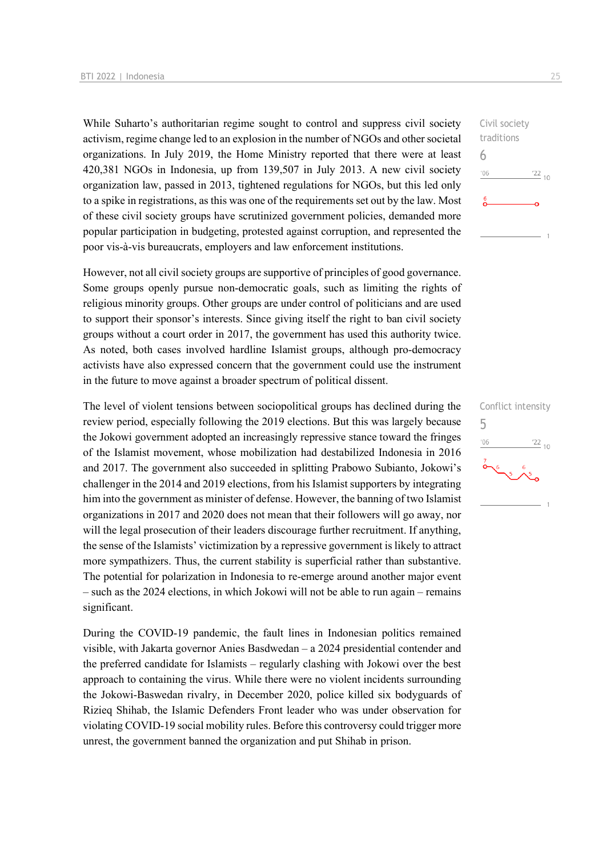While Suharto's authoritarian regime sought to control and suppress civil society activism, regime change led to an explosion in the number of NGOs and other societal organizations. In July 2019, the Home Ministry reported that there were at least 420,381 NGOs in Indonesia, up from 139,507 in July 2013. A new civil society organization law, passed in 2013, tightened regulations for NGOs, but this led only to a spike in registrations, as this was one of the requirements set out by the law. Most of these civil society groups have scrutinized government policies, demanded more popular participation in budgeting, protested against corruption, and represented the poor vis-à-vis bureaucrats, employers and law enforcement institutions.

However, not all civil society groups are supportive of principles of good governance. Some groups openly pursue non-democratic goals, such as limiting the rights of religious minority groups. Other groups are under control of politicians and are used to support their sponsor's interests. Since giving itself the right to ban civil society groups without a court order in 2017, the government has used this authority twice. As noted, both cases involved hardline Islamist groups, although pro-democracy activists have also expressed concern that the government could use the instrument in the future to move against a broader spectrum of political dissent.

The level of violent tensions between sociopolitical groups has declined during the review period, especially following the 2019 elections. But this was largely because the Jokowi government adopted an increasingly repressive stance toward the fringes of the Islamist movement, whose mobilization had destabilized Indonesia in 2016 and 2017. The government also succeeded in splitting Prabowo Subianto, Jokowi's challenger in the 2014 and 2019 elections, from his Islamist supporters by integrating him into the government as minister of defense. However, the banning of two Islamist organizations in 2017 and 2020 does not mean that their followers will go away, nor will the legal prosecution of their leaders discourage further recruitment. If anything, the sense of the Islamists' victimization by a repressive government is likely to attract more sympathizers. Thus, the current stability is superficial rather than substantive. The potential for polarization in Indonesia to re-emerge around another major event – such as the 2024 elections, in which Jokowi will not be able to run again – remains significant.

During the COVID-19 pandemic, the fault lines in Indonesian politics remained visible, with Jakarta governor Anies Basdwedan – a 2024 presidential contender and the preferred candidate for Islamists – regularly clashing with Jokowi over the best approach to containing the virus. While there were no violent incidents surrounding the Jokowi-Baswedan rivalry, in December 2020, police killed six bodyguards of Rizieq Shihab, the Islamic Defenders Front leader who was under observation for violating COVID-19 social mobility rules. Before this controversy could trigger more unrest, the government banned the organization and put Shihab in prison.



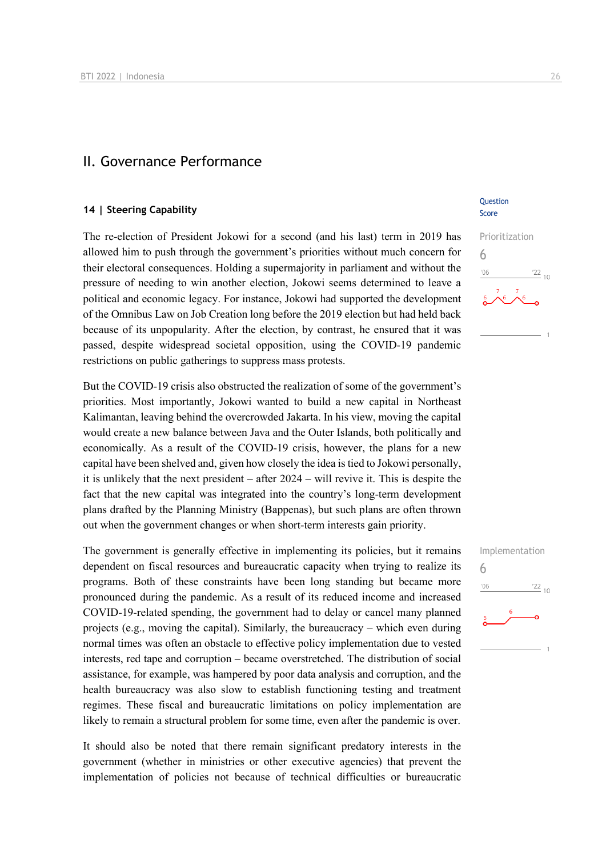### II. Governance Performance

#### **14 | Steering Capability**

The re-election of President Jokowi for a second (and his last) term in 2019 has allowed him to push through the government's priorities without much concern for their electoral consequences. Holding a supermajority in parliament and without the pressure of needing to win another election, Jokowi seems determined to leave a political and economic legacy. For instance, Jokowi had supported the development of the Omnibus Law on Job Creation long before the 2019 election but had held back because of its unpopularity. After the election, by contrast, he ensured that it was passed, despite widespread societal opposition, using the COVID-19 pandemic restrictions on public gatherings to suppress mass protests.

But the COVID-19 crisis also obstructed the realization of some of the government's priorities. Most importantly, Jokowi wanted to build a new capital in Northeast Kalimantan, leaving behind the overcrowded Jakarta. In his view, moving the capital would create a new balance between Java and the Outer Islands, both politically and economically. As a result of the COVID-19 crisis, however, the plans for a new capital have been shelved and, given how closely the idea is tied to Jokowi personally, it is unlikely that the next president – after 2024 – will revive it. This is despite the fact that the new capital was integrated into the country's long-term development plans drafted by the Planning Ministry (Bappenas), but such plans are often thrown out when the government changes or when short-term interests gain priority.

The government is generally effective in implementing its policies, but it remains dependent on fiscal resources and bureaucratic capacity when trying to realize its programs. Both of these constraints have been long standing but became more pronounced during the pandemic. As a result of its reduced income and increased COVID-19-related spending, the government had to delay or cancel many planned projects (e.g., moving the capital). Similarly, the bureaucracy – which even during normal times was often an obstacle to effective policy implementation due to vested interests, red tape and corruption – became overstretched. The distribution of social assistance, for example, was hampered by poor data analysis and corruption, and the health bureaucracy was also slow to establish functioning testing and treatment regimes. These fiscal and bureaucratic limitations on policy implementation are likely to remain a structural problem for some time, even after the pandemic is over.

It should also be noted that there remain significant predatory interests in the government (whether in ministries or other executive agencies) that prevent the implementation of policies not because of technical difficulties or bureaucratic

#### **Ouestion** Score



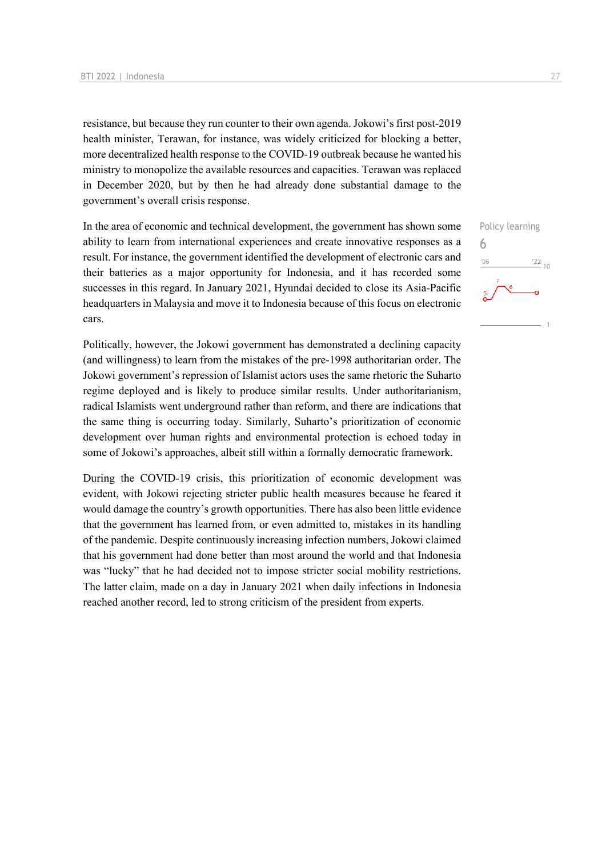resistance, but because they run counter to their own agenda. Jokowi's first post-2019 health minister, Terawan, for instance, was widely criticized for blocking a better, more decentralized health response to the COVID-19 outbreak because he wanted his ministry to monopolize the available resources and capacities. Terawan was replaced in December 2020, but by then he had already done substantial damage to the government's overall crisis response.

In the area of economic and technical development, the government has shown some ability to learn from international experiences and create innovative responses as a result. For instance, the government identified the development of electronic cars and their batteries as a major opportunity for Indonesia, and it has recorded some successes in this regard. In January 2021, Hyundai decided to close its Asia-Pacific headquarters in Malaysia and move it to Indonesia because of this focus on electronic cars.

Politically, however, the Jokowi government has demonstrated a declining capacity (and willingness) to learn from the mistakes of the pre-1998 authoritarian order. The Jokowi government's repression of Islamist actors uses the same rhetoric the Suharto regime deployed and is likely to produce similar results. Under authoritarianism, radical Islamists went underground rather than reform, and there are indications that the same thing is occurring today. Similarly, Suharto's prioritization of economic development over human rights and environmental protection is echoed today in some of Jokowi's approaches, albeit still within a formally democratic framework.

During the COVID-19 crisis, this prioritization of economic development was evident, with Jokowi rejecting stricter public health measures because he feared it would damage the country's growth opportunities. There has also been little evidence that the government has learned from, or even admitted to, mistakes in its handling of the pandemic. Despite continuously increasing infection numbers, Jokowi claimed that his government had done better than most around the world and that Indonesia was "lucky" that he had decided not to impose stricter social mobility restrictions. The latter claim, made on a day in January 2021 when daily infections in Indonesia reached another record, led to strong criticism of the president from experts.

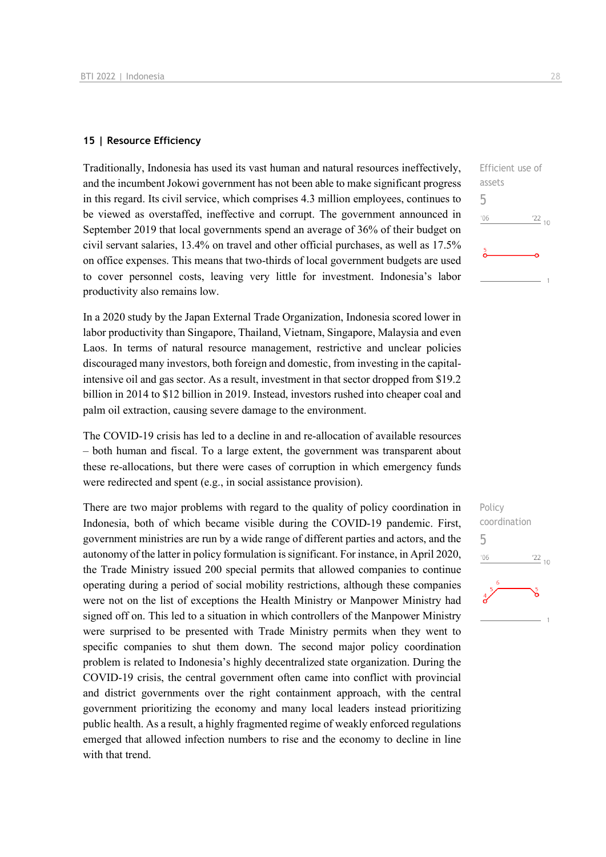#### **15 | Resource Efficiency**

Traditionally, Indonesia has used its vast human and natural resources ineffectively, and the incumbent Jokowi government has not been able to make significant progress in this regard. Its civil service, which comprises 4.3 million employees, continues to be viewed as overstaffed, ineffective and corrupt. The government announced in September 2019 that local governments spend an average of 36% of their budget on civil servant salaries, 13.4% on travel and other official purchases, as well as 17.5% on office expenses. This means that two-thirds of local government budgets are used to cover personnel costs, leaving very little for investment. Indonesia's labor productivity also remains low.

In a 2020 study by the Japan External Trade Organization, Indonesia scored lower in labor productivity than Singapore, Thailand, Vietnam, Singapore, Malaysia and even Laos. In terms of natural resource management, restrictive and unclear policies discouraged many investors, both foreign and domestic, from investing in the capitalintensive oil and gas sector. As a result, investment in that sector dropped from \$19.2 billion in 2014 to \$12 billion in 2019. Instead, investors rushed into cheaper coal and palm oil extraction, causing severe damage to the environment.

The COVID-19 crisis has led to a decline in and re-allocation of available resources – both human and fiscal. To a large extent, the government was transparent about these re-allocations, but there were cases of corruption in which emergency funds were redirected and spent (e.g., in social assistance provision).

There are two major problems with regard to the quality of policy coordination in Indonesia, both of which became visible during the COVID-19 pandemic. First, government ministries are run by a wide range of different parties and actors, and the autonomy of the latter in policy formulation is significant. For instance, in April 2020, the Trade Ministry issued 200 special permits that allowed companies to continue operating during a period of social mobility restrictions, although these companies were not on the list of exceptions the Health Ministry or Manpower Ministry had signed off on. This led to a situation in which controllers of the Manpower Ministry were surprised to be presented with Trade Ministry permits when they went to specific companies to shut them down. The second major policy coordination problem is related to Indonesia's highly decentralized state organization. During the COVID-19 crisis, the central government often came into conflict with provincial and district governments over the right containment approach, with the central government prioritizing the economy and many local leaders instead prioritizing public health. As a result, a highly fragmented regime of weakly enforced regulations emerged that allowed infection numbers to rise and the economy to decline in line with that trend.

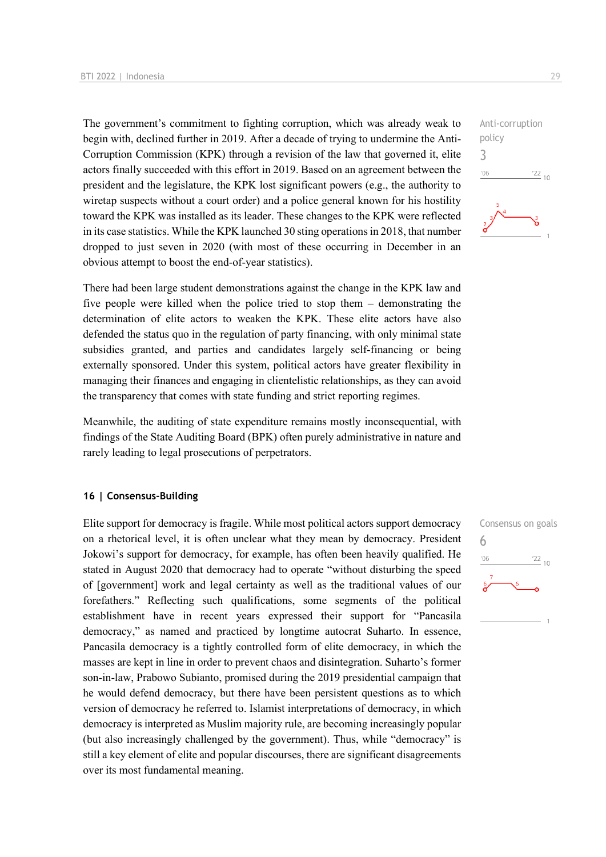The government's commitment to fighting corruption, which was already weak to begin with, declined further in 2019. After a decade of trying to undermine the Anti-Corruption Commission (KPK) through a revision of the law that governed it, elite actors finally succeeded with this effort in 2019. Based on an agreement between the president and the legislature, the KPK lost significant powers (e.g., the authority to wiretap suspects without a court order) and a police general known for his hostility toward the KPK was installed as its leader. These changes to the KPK were reflected in its case statistics. While the KPK launched 30 sting operations in 2018, that number dropped to just seven in 2020 (with most of these occurring in December in an obvious attempt to boost the end-of-year statistics).

There had been large student demonstrations against the change in the KPK law and five people were killed when the police tried to stop them – demonstrating the determination of elite actors to weaken the KPK. These elite actors have also defended the status quo in the regulation of party financing, with only minimal state subsidies granted, and parties and candidates largely self-financing or being externally sponsored. Under this system, political actors have greater flexibility in managing their finances and engaging in clientelistic relationships, as they can avoid the transparency that comes with state funding and strict reporting regimes.

Meanwhile, the auditing of state expenditure remains mostly inconsequential, with findings of the State Auditing Board (BPK) often purely administrative in nature and rarely leading to legal prosecutions of perpetrators.

#### **16 | Consensus-Building**

Elite support for democracy is fragile. While most political actors support democracy on a rhetorical level, it is often unclear what they mean by democracy. President Jokowi's support for democracy, for example, has often been heavily qualified. He stated in August 2020 that democracy had to operate "without disturbing the speed of [government] work and legal certainty as well as the traditional values of our forefathers." Reflecting such qualifications, some segments of the political establishment have in recent years expressed their support for "Pancasila democracy," as named and practiced by longtime autocrat Suharto. In essence, Pancasila democracy is a tightly controlled form of elite democracy, in which the masses are kept in line in order to prevent chaos and disintegration. Suharto's former son-in-law, Prabowo Subianto, promised during the 2019 presidential campaign that he would defend democracy, but there have been persistent questions as to which version of democracy he referred to. Islamist interpretations of democracy, in which democracy is interpreted as Muslim majority rule, are becoming increasingly popular (but also increasingly challenged by the government). Thus, while "democracy" is still a key element of elite and popular discourses, there are significant disagreements over its most fundamental meaning.



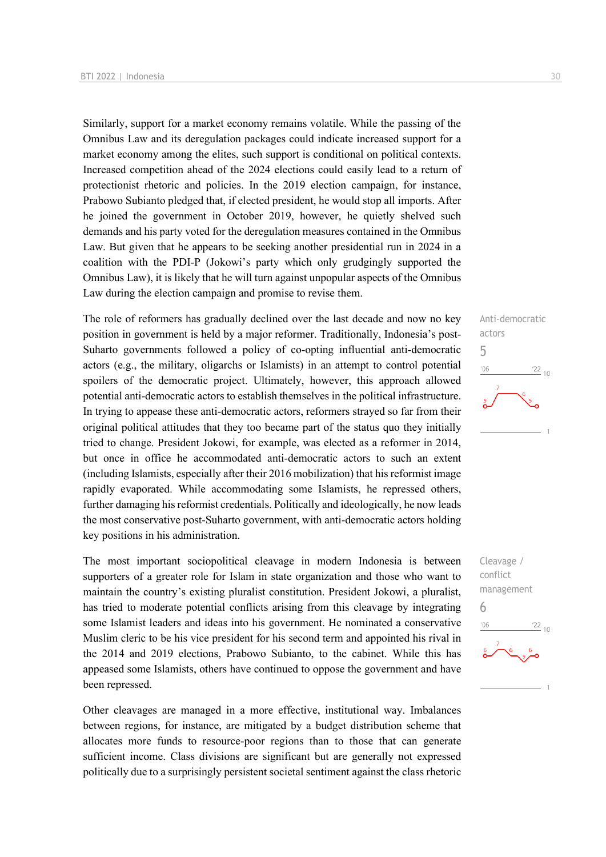Similarly, support for a market economy remains volatile. While the passing of the Omnibus Law and its deregulation packages could indicate increased support for a market economy among the elites, such support is conditional on political contexts. Increased competition ahead of the 2024 elections could easily lead to a return of protectionist rhetoric and policies. In the 2019 election campaign, for instance, Prabowo Subianto pledged that, if elected president, he would stop all imports. After he joined the government in October 2019, however, he quietly shelved such demands and his party voted for the deregulation measures contained in the Omnibus Law. But given that he appears to be seeking another presidential run in 2024 in a coalition with the PDI-P (Jokowi's party which only grudgingly supported the Omnibus Law), it is likely that he will turn against unpopular aspects of the Omnibus Law during the election campaign and promise to revise them.

The role of reformers has gradually declined over the last decade and now no key position in government is held by a major reformer. Traditionally, Indonesia's post-Suharto governments followed a policy of co-opting influential anti-democratic actors (e.g., the military, oligarchs or Islamists) in an attempt to control potential spoilers of the democratic project. Ultimately, however, this approach allowed potential anti-democratic actors to establish themselves in the political infrastructure. In trying to appease these anti-democratic actors, reformers strayed so far from their original political attitudes that they too became part of the status quo they initially tried to change. President Jokowi, for example, was elected as a reformer in 2014, but once in office he accommodated anti-democratic actors to such an extent (including Islamists, especially after their 2016 mobilization) that his reformist image rapidly evaporated. While accommodating some Islamists, he repressed others, further damaging his reformist credentials. Politically and ideologically, he now leads the most conservative post-Suharto government, with anti-democratic actors holding key positions in his administration.

The most important sociopolitical cleavage in modern Indonesia is between supporters of a greater role for Islam in state organization and those who want to maintain the country's existing pluralist constitution. President Jokowi, a pluralist, has tried to moderate potential conflicts arising from this cleavage by integrating some Islamist leaders and ideas into his government. He nominated a conservative Muslim cleric to be his vice president for his second term and appointed his rival in the 2014 and 2019 elections, Prabowo Subianto, to the cabinet. While this has appeased some Islamists, others have continued to oppose the government and have been repressed.

Other cleavages are managed in a more effective, institutional way. Imbalances between regions, for instance, are mitigated by a budget distribution scheme that allocates more funds to resource-poor regions than to those that can generate sufficient income. Class divisions are significant but are generally not expressed politically due to a surprisingly persistent societal sentiment against the class rhetoric



Cleavage / conflict management 6 $\frac{22}{10}$  $106$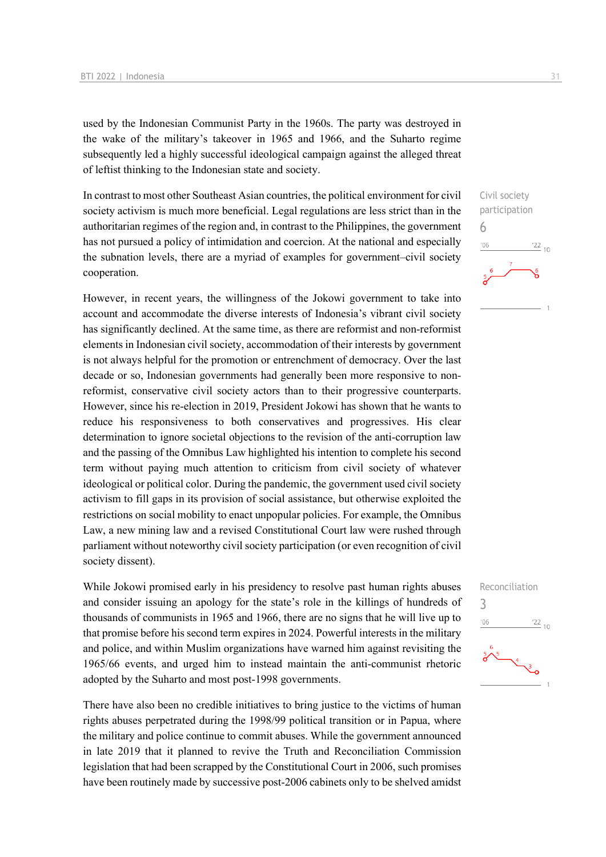used by the Indonesian Communist Party in the 1960s. The party was destroyed in the wake of the military's takeover in 1965 and 1966, and the Suharto regime subsequently led a highly successful ideological campaign against the alleged threat of leftist thinking to the Indonesian state and society.

In contrast to most other Southeast Asian countries, the political environment for civil society activism is much more beneficial. Legal regulations are less strict than in the authoritarian regimes of the region and, in contrast to the Philippines, the government has not pursued a policy of intimidation and coercion. At the national and especially the subnation levels, there are a myriad of examples for government–civil society cooperation.

However, in recent years, the willingness of the Jokowi government to take into account and accommodate the diverse interests of Indonesia's vibrant civil society has significantly declined. At the same time, as there are reformist and non-reformist elements in Indonesian civil society, accommodation of their interests by government is not always helpful for the promotion or entrenchment of democracy. Over the last decade or so, Indonesian governments had generally been more responsive to nonreformist, conservative civil society actors than to their progressive counterparts. However, since his re-election in 2019, President Jokowi has shown that he wants to reduce his responsiveness to both conservatives and progressives. His clear determination to ignore societal objections to the revision of the anti-corruption law and the passing of the Omnibus Law highlighted his intention to complete his second term without paying much attention to criticism from civil society of whatever ideological or political color. During the pandemic, the government used civil society activism to fill gaps in its provision of social assistance, but otherwise exploited the restrictions on social mobility to enact unpopular policies. For example, the Omnibus Law, a new mining law and a revised Constitutional Court law were rushed through parliament without noteworthy civil society participation (or even recognition of civil society dissent).

While Jokowi promised early in his presidency to resolve past human rights abuses and consider issuing an apology for the state's role in the killings of hundreds of thousands of communists in 1965 and 1966, there are no signs that he will live up to that promise before his second term expires in 2024. Powerful interests in the military and police, and within Muslim organizations have warned him against revisiting the 1965/66 events, and urged him to instead maintain the anti-communist rhetoric adopted by the Suharto and most post-1998 governments.

There have also been no credible initiatives to bring justice to the victims of human rights abuses perpetrated during the 1998/99 political transition or in Papua, where the military and police continue to commit abuses. While the government announced in late 2019 that it planned to revive the Truth and Reconciliation Commission legislation that had been scrapped by the Constitutional Court in 2006, such promises have been routinely made by successive post-2006 cabinets only to be shelved amidst

Civil society participation

 $\frac{22}{10}$ 

Reconciliation

 $\frac{22}{10}$ 

3

 $106$ 

6

 $106$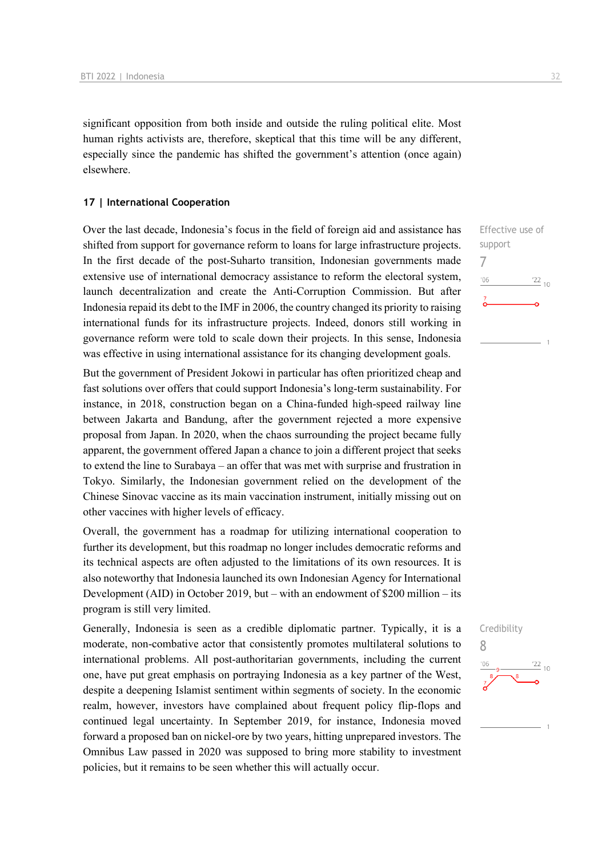significant opposition from both inside and outside the ruling political elite. Most human rights activists are, therefore, skeptical that this time will be any different, especially since the pandemic has shifted the government's attention (once again) elsewhere.

#### **17 | International Cooperation**

Over the last decade, Indonesia's focus in the field of foreign aid and assistance has shifted from support for governance reform to loans for large infrastructure projects. In the first decade of the post-Suharto transition, Indonesian governments made extensive use of international democracy assistance to reform the electoral system, launch decentralization and create the Anti-Corruption Commission. But after Indonesia repaid its debt to the IMF in 2006, the country changed its priority to raising international funds for its infrastructure projects. Indeed, donors still working in governance reform were told to scale down their projects. In this sense, Indonesia was effective in using international assistance for its changing development goals.

But the government of President Jokowi in particular has often prioritized cheap and fast solutions over offers that could support Indonesia's long-term sustainability. For instance, in 2018, construction began on a China-funded high-speed railway line between Jakarta and Bandung, after the government rejected a more expensive proposal from Japan. In 2020, when the chaos surrounding the project became fully apparent, the government offered Japan a chance to join a different project that seeks to extend the line to Surabaya – an offer that was met with surprise and frustration in Tokyo. Similarly, the Indonesian government relied on the development of the Chinese Sinovac vaccine as its main vaccination instrument, initially missing out on other vaccines with higher levels of efficacy.

Overall, the government has a roadmap for utilizing international cooperation to further its development, but this roadmap no longer includes democratic reforms and its technical aspects are often adjusted to the limitations of its own resources. It is also noteworthy that Indonesia launched its own Indonesian Agency for International Development (AID) in October 2019, but – with an endowment of \$200 million – its program is still very limited.

Generally, Indonesia is seen as a credible diplomatic partner. Typically, it is a moderate, non-combative actor that consistently promotes multilateral solutions to international problems. All post-authoritarian governments, including the current one, have put great emphasis on portraying Indonesia as a key partner of the West, despite a deepening Islamist sentiment within segments of society. In the economic realm, however, investors have complained about frequent policy flip-flops and continued legal uncertainty. In September 2019, for instance, Indonesia moved forward a proposed ban on nickel-ore by two years, hitting unprepared investors. The Omnibus Law passed in 2020 was supposed to bring more stability to investment policies, but it remains to be seen whether this will actually occur.





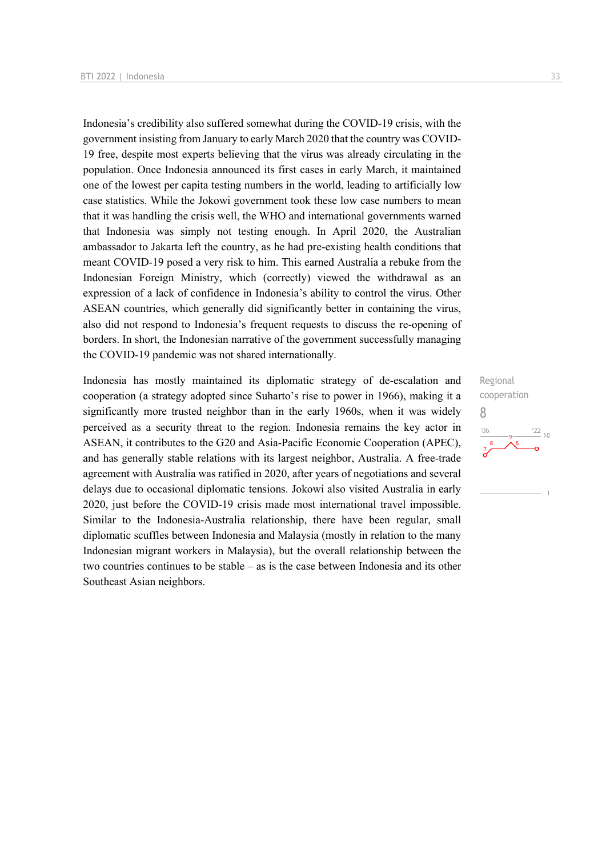Indonesia's credibility also suffered somewhat during the COVID-19 crisis, with the government insisting from January to early March 2020 that the country was COVID-19 free, despite most experts believing that the virus was already circulating in the population. Once Indonesia announced its first cases in early March, it maintained one of the lowest per capita testing numbers in the world, leading to artificially low case statistics. While the Jokowi government took these low case numbers to mean that it was handling the crisis well, the WHO and international governments warned that Indonesia was simply not testing enough. In April 2020, the Australian ambassador to Jakarta left the country, as he had pre-existing health conditions that meant COVID-19 posed a very risk to him. This earned Australia a rebuke from the Indonesian Foreign Ministry, which (correctly) viewed the withdrawal as an expression of a lack of confidence in Indonesia's ability to control the virus. Other ASEAN countries, which generally did significantly better in containing the virus, also did not respond to Indonesia's frequent requests to discuss the re-opening of borders. In short, the Indonesian narrative of the government successfully managing the COVID-19 pandemic was not shared internationally.

Indonesia has mostly maintained its diplomatic strategy of de-escalation and cooperation (a strategy adopted since Suharto's rise to power in 1966), making it a significantly more trusted neighbor than in the early 1960s, when it was widely perceived as a security threat to the region. Indonesia remains the key actor in ASEAN, it contributes to the G20 and Asia-Pacific Economic Cooperation (APEC), and has generally stable relations with its largest neighbor, Australia. A free-trade agreement with Australia was ratified in 2020, after years of negotiations and several delays due to occasional diplomatic tensions. Jokowi also visited Australia in early 2020, just before the COVID-19 crisis made most international travel impossible. Similar to the Indonesia-Australia relationship, there have been regular, small diplomatic scuffles between Indonesia and Malaysia (mostly in relation to the many Indonesian migrant workers in Malaysia), but the overall relationship between the two countries continues to be stable – as is the case between Indonesia and its other Southeast Asian neighbors.

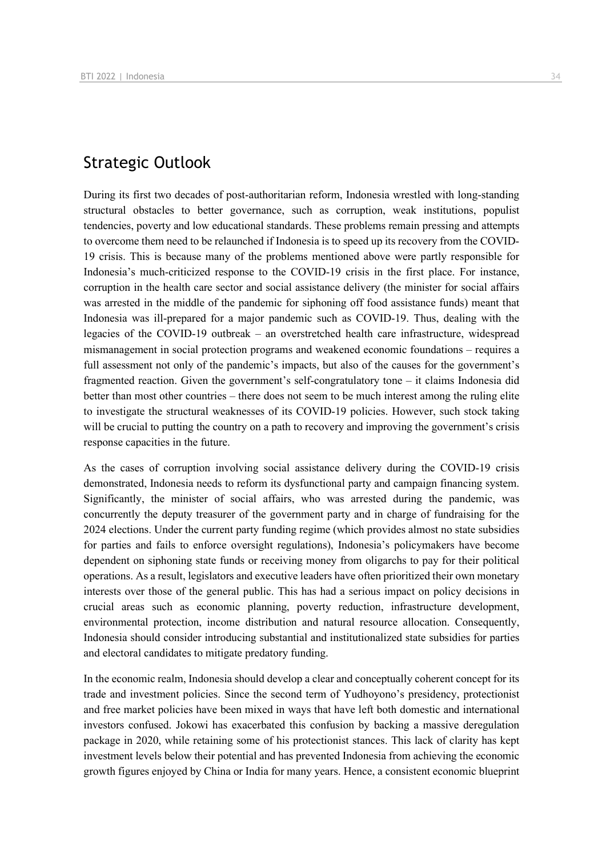## Strategic Outlook

During its first two decades of post-authoritarian reform, Indonesia wrestled with long-standing structural obstacles to better governance, such as corruption, weak institutions, populist tendencies, poverty and low educational standards. These problems remain pressing and attempts to overcome them need to be relaunched if Indonesia is to speed up its recovery from the COVID-19 crisis. This is because many of the problems mentioned above were partly responsible for Indonesia's much-criticized response to the COVID-19 crisis in the first place. For instance, corruption in the health care sector and social assistance delivery (the minister for social affairs was arrested in the middle of the pandemic for siphoning off food assistance funds) meant that Indonesia was ill-prepared for a major pandemic such as COVID-19. Thus, dealing with the legacies of the COVID-19 outbreak – an overstretched health care infrastructure, widespread mismanagement in social protection programs and weakened economic foundations – requires a full assessment not only of the pandemic's impacts, but also of the causes for the government's fragmented reaction. Given the government's self-congratulatory tone – it claims Indonesia did better than most other countries – there does not seem to be much interest among the ruling elite to investigate the structural weaknesses of its COVID-19 policies. However, such stock taking will be crucial to putting the country on a path to recovery and improving the government's crisis response capacities in the future.

As the cases of corruption involving social assistance delivery during the COVID-19 crisis demonstrated, Indonesia needs to reform its dysfunctional party and campaign financing system. Significantly, the minister of social affairs, who was arrested during the pandemic, was concurrently the deputy treasurer of the government party and in charge of fundraising for the 2024 elections. Under the current party funding regime (which provides almost no state subsidies for parties and fails to enforce oversight regulations), Indonesia's policymakers have become dependent on siphoning state funds or receiving money from oligarchs to pay for their political operations. As a result, legislators and executive leaders have often prioritized their own monetary interests over those of the general public. This has had a serious impact on policy decisions in crucial areas such as economic planning, poverty reduction, infrastructure development, environmental protection, income distribution and natural resource allocation. Consequently, Indonesia should consider introducing substantial and institutionalized state subsidies for parties and electoral candidates to mitigate predatory funding.

In the economic realm, Indonesia should develop a clear and conceptually coherent concept for its trade and investment policies. Since the second term of Yudhoyono's presidency, protectionist and free market policies have been mixed in ways that have left both domestic and international investors confused. Jokowi has exacerbated this confusion by backing a massive deregulation package in 2020, while retaining some of his protectionist stances. This lack of clarity has kept investment levels below their potential and has prevented Indonesia from achieving the economic growth figures enjoyed by China or India for many years. Hence, a consistent economic blueprint